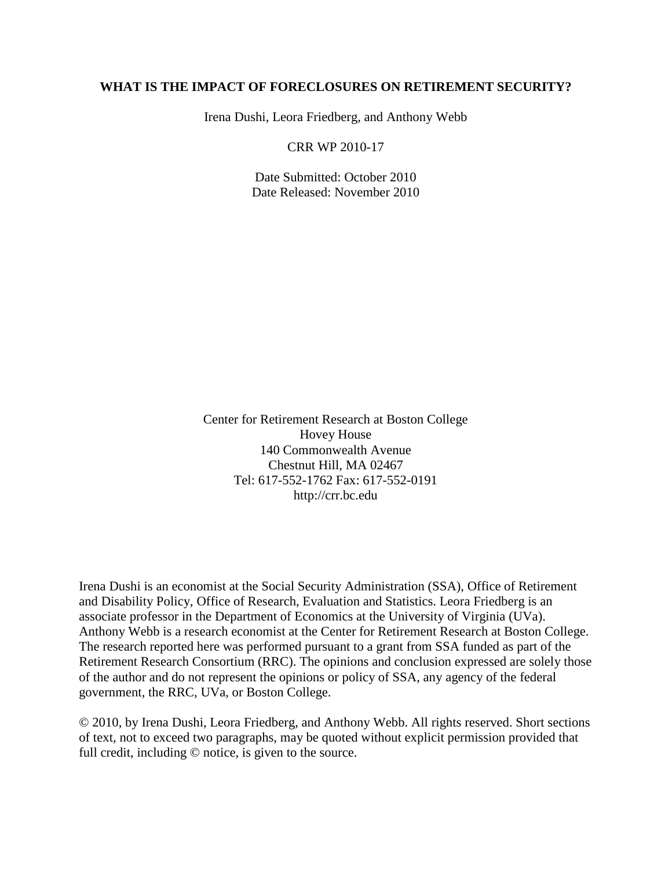# **WHAT IS THE IMPACT OF FORECLOSURES ON RETIREMENT SECURITY?**

Irena Dushi, Leora Friedberg, and Anthony Webb

CRR WP 2010-17

Date Submitted: October 2010 Date Released: November 2010

Center for Retirement Research at Boston College Hovey House 140 Commonwealth Avenue Chestnut Hill, MA 02467 Tel: 617-552-1762 Fax: 617-552-0191 http://crr.bc.edu

Irena Dushi is an economist at the Social Security Administration (SSA), Office of Retirement and Disability Policy, Office of Research, Evaluation and Statistics. Leora Friedberg is an associate professor in the Department of Economics at the University of Virginia (UVa). Anthony Webb is a research economist at the Center for Retirement Research at Boston College. The research reported here was performed pursuant to a grant from SSA funded as part of the Retirement Research Consortium (RRC). The opinions and conclusion expressed are solely those of the author and do not represent the opinions or policy of SSA, any agency of the federal government, the RRC, UVa, or Boston College.

© 2010, by Irena Dushi, Leora Friedberg, and Anthony Webb. All rights reserved. Short sections of text, not to exceed two paragraphs, may be quoted without explicit permission provided that full credit, including © notice, is given to the source.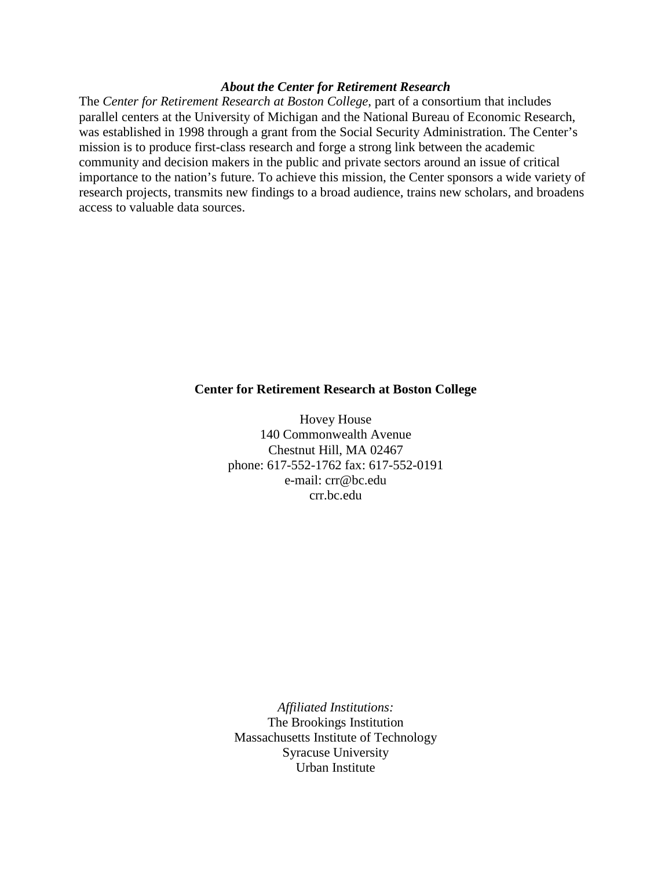#### *About the Center for Retirement Research*

The *Center for Retirement Research at Boston College*, part of a consortium that includes parallel centers at the University of Michigan and the National Bureau of Economic Research, was established in 1998 through a grant from the Social Security Administration. The Center's mission is to produce first-class research and forge a strong link between the academic community and decision makers in the public and private sectors around an issue of critical importance to the nation's future. To achieve this mission, the Center sponsors a wide variety of research projects, transmits new findings to a broad audience, trains new scholars, and broadens access to valuable data sources.

#### **Center for Retirement Research at Boston College**

Hovey House 140 Commonwealth Avenue Chestnut Hill, MA 02467 phone: 617-552-1762 fax: 617-552-0191 e-mail: crr@bc.edu crr.bc.edu

*Affiliated Institutions:* The Brookings Institution Massachusetts Institute of Technology Syracuse University Urban Institute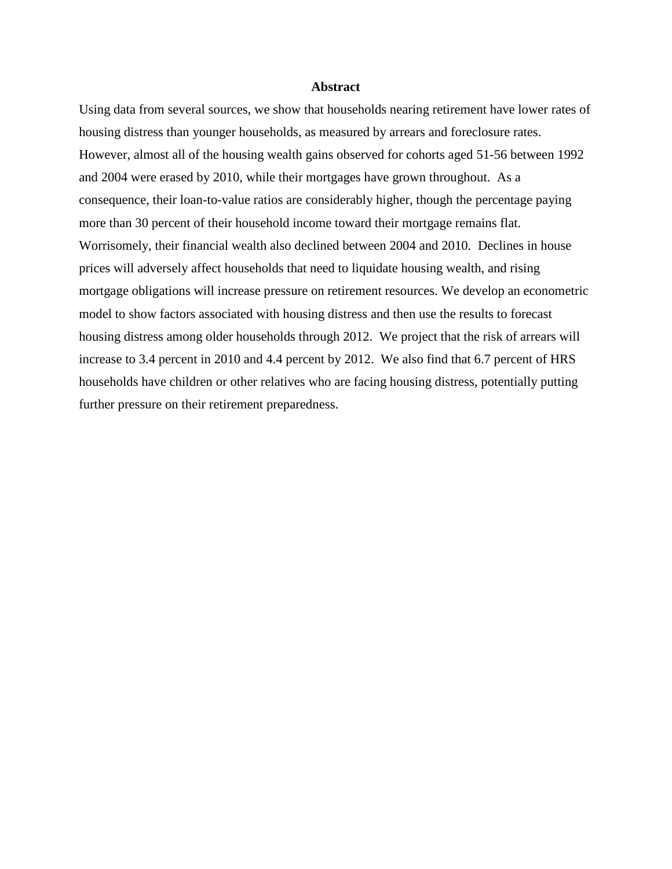#### **Abstract**

Using data from several sources, we show that households nearing retirement have lower rates of housing distress than younger households, as measured by arrears and foreclosure rates. However, almost all of the housing wealth gains observed for cohorts aged 51-56 between 1992 and 2004 were erased by 2010, while their mortgages have grown throughout. As a consequence, their loan-to-value ratios are considerably higher, though the percentage paying more than 30 percent of their household income toward their mortgage remains flat. Worrisomely, their financial wealth also declined between 2004 and 2010. Declines in house prices will adversely affect households that need to liquidate housing wealth, and rising mortgage obligations will increase pressure on retirement resources. We develop an econometric model to show factors associated with housing distress and then use the results to forecast housing distress among older households through 2012. We project that the risk of arrears will increase to 3.4 percent in 2010 and 4.4 percent by 2012. We also find that 6.7 percent of HRS households have children or other relatives who are facing housing distress, potentially putting further pressure on their retirement preparedness.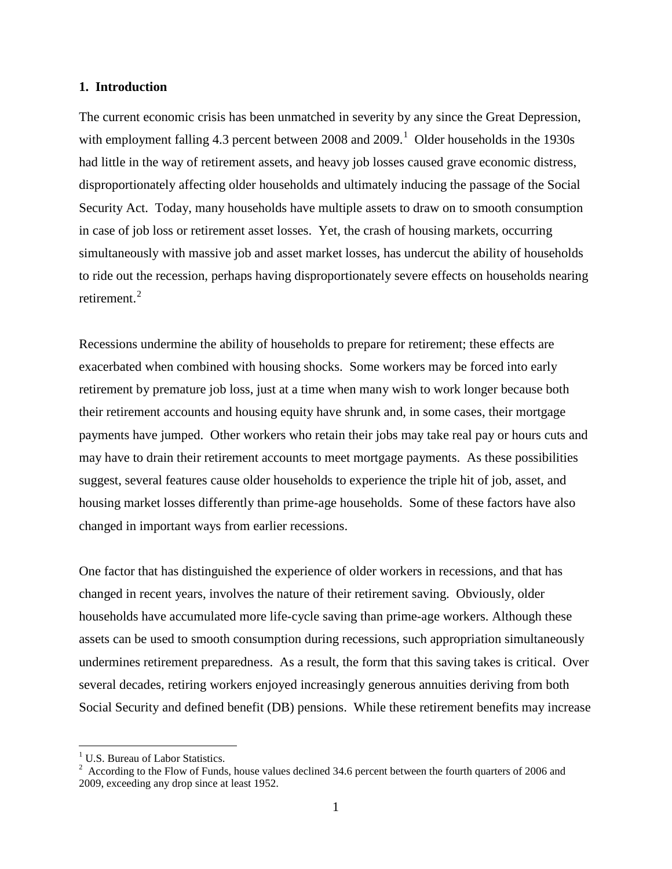#### **1. Introduction**

The current economic crisis has been unmatched in severity by any since the Great Depression, with employment falling 4.3 percent between  $2008$  and  $2009$ .<sup>[1](#page-3-0)</sup> Older households in the 1930s had little in the way of retirement assets, and heavy job losses caused grave economic distress, disproportionately affecting older households and ultimately inducing the passage of the Social Security Act. Today, many households have multiple assets to draw on to smooth consumption in case of job loss or retirement asset losses. Yet, the crash of housing markets, occurring simultaneously with massive job and asset market losses, has undercut the ability of households to ride out the recession, perhaps having disproportionately severe effects on households nearing retirement.<sup>[2](#page-3-1)</sup>

Recessions undermine the ability of households to prepare for retirement; these effects are exacerbated when combined with housing shocks. Some workers may be forced into early retirement by premature job loss, just at a time when many wish to work longer because both their retirement accounts and housing equity have shrunk and, in some cases, their mortgage payments have jumped. Other workers who retain their jobs may take real pay or hours cuts and may have to drain their retirement accounts to meet mortgage payments. As these possibilities suggest, several features cause older households to experience the triple hit of job, asset, and housing market losses differently than prime-age households. Some of these factors have also changed in important ways from earlier recessions.

One factor that has distinguished the experience of older workers in recessions, and that has changed in recent years, involves the nature of their retirement saving. Obviously, older households have accumulated more life-cycle saving than prime-age workers. Although these assets can be used to smooth consumption during recessions, such appropriation simultaneously undermines retirement preparedness. As a result, the form that this saving takes is critical. Over several decades, retiring workers enjoyed increasingly generous annuities deriving from both Social Security and defined benefit (DB) pensions. While these retirement benefits may increase

 $\overline{a}$ 

<span id="page-3-0"></span> $<sup>1</sup>$  U.S. Bureau of Labor Statistics.</sup>

<span id="page-3-1"></span> $2^2$  According to the Flow of Funds, house values declined 34.6 percent between the fourth quarters of 2006 and 2009, exceeding any drop since at least 1952.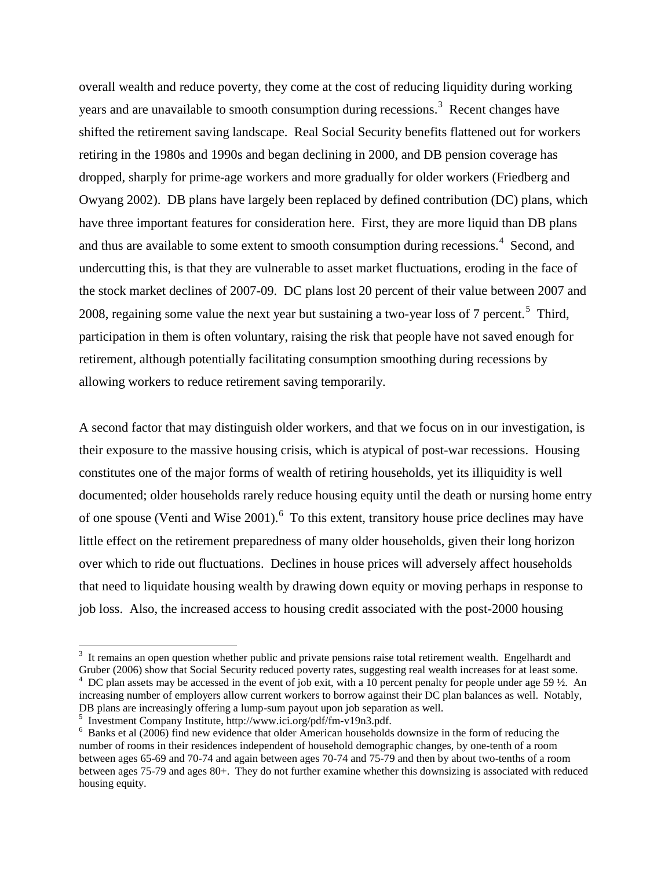overall wealth and reduce poverty, they come at the cost of reducing liquidity during working years and are unavailable to smooth consumption during recessions.<sup>[3](#page-4-0)</sup> Recent changes have shifted the retirement saving landscape. Real Social Security benefits flattened out for workers retiring in the 1980s and 1990s and began declining in 2000, and DB pension coverage has dropped, sharply for prime-age workers and more gradually for older workers (Friedberg and Owyang 2002). DB plans have largely been replaced by defined contribution (DC) plans, which have three important features for consideration here. First, they are more liquid than DB plans and thus are available to some extent to smooth consumption during recessions.<sup>[4](#page-4-1)</sup> Second, and undercutting this, is that they are vulnerable to asset market fluctuations, eroding in the face of the stock market declines of 2007-09. DC plans lost 20 percent of their value between 2007 and 2008, regaining some value the next year but sustaining a two-year loss of 7 percent.<sup>[5](#page-4-2)</sup> Third, participation in them is often voluntary, raising the risk that people have not saved enough for retirement, although potentially facilitating consumption smoothing during recessions by allowing workers to reduce retirement saving temporarily.

A second factor that may distinguish older workers, and that we focus on in our investigation, is their exposure to the massive housing crisis, which is atypical of post-war recessions. Housing constitutes one of the major forms of wealth of retiring households, yet its illiquidity is well documented; older households rarely reduce housing equity until the death or nursing home entry of one spouse (Venti and Wise  $2001$ ). <sup>[6](#page-4-3)</sup> To this extent, transitory house price declines may have little effect on the retirement preparedness of many older households, given their long horizon over which to ride out fluctuations. Declines in house prices will adversely affect households that need to liquidate housing wealth by drawing down equity or moving perhaps in response to job loss. Also, the increased access to housing credit associated with the post-2000 housing

 $\overline{a}$ 

<span id="page-4-1"></span><span id="page-4-0"></span> $3$  It remains an open question whether public and private pensions raise total retirement wealth. Engelhardt and Gruber (2006) show that Social Security reduced poverty rates, suggesting real wealth increases for at least some.  $4\degree$  DC plan assets may be accessed in the event of job exit, with a 10 percent penalty for people under age 59  $\frac{1}{2}$ . An increasing number of employers allow current workers to borrow against their DC plan balances as well. Notably, DB plans are increasingly offering a lump-sum payout upon job separation as well.

<span id="page-4-2"></span> $\frac{1}{2}$  Investment Company Institute, http://www.ici.org/pdf/fm-v19n3.pdf.

<span id="page-4-3"></span> $6$  Banks et al (2006) find new evidence that older American households downsize in the form of reducing the number of rooms in their residences independent of household demographic changes, by one-tenth of a room between ages 65-69 and 70-74 and again between ages 70-74 and 75-79 and then by about two-tenths of a room between ages 75-79 and ages 80+. They do not further examine whether this downsizing is associated with reduced housing equity.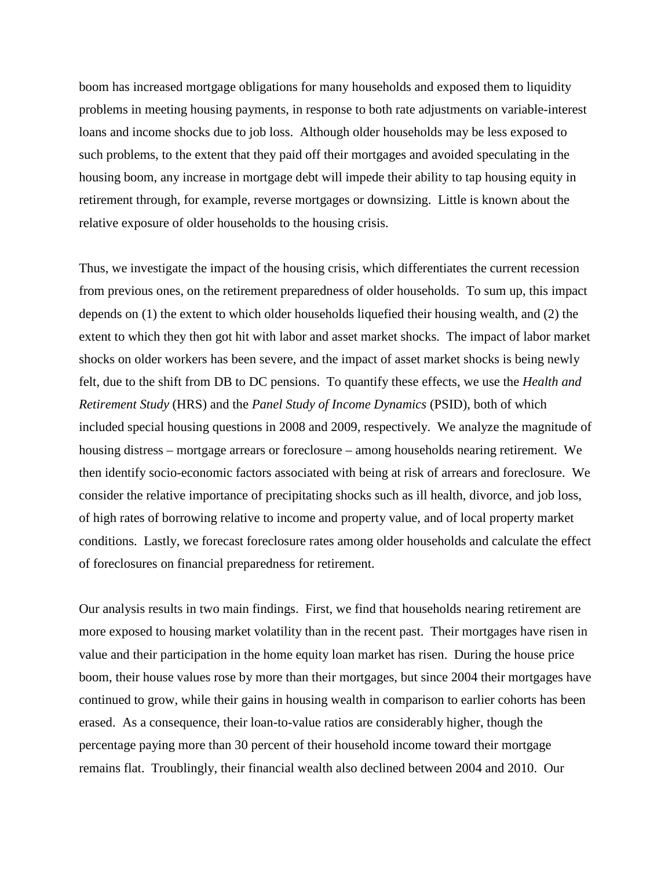boom has increased mortgage obligations for many households and exposed them to liquidity problems in meeting housing payments, in response to both rate adjustments on variable-interest loans and income shocks due to job loss. Although older households may be less exposed to such problems, to the extent that they paid off their mortgages and avoided speculating in the housing boom, any increase in mortgage debt will impede their ability to tap housing equity in retirement through, for example, reverse mortgages or downsizing. Little is known about the relative exposure of older households to the housing crisis.

Thus, we investigate the impact of the housing crisis, which differentiates the current recession from previous ones, on the retirement preparedness of older households. To sum up, this impact depends on (1) the extent to which older households liquefied their housing wealth, and (2) the extent to which they then got hit with labor and asset market shocks. The impact of labor market shocks on older workers has been severe, and the impact of asset market shocks is being newly felt, due to the shift from DB to DC pensions. To quantify these effects, we use the *Health and Retirement Study* (HRS) and the *Panel Study of Income Dynamics* (PSID), both of which included special housing questions in 2008 and 2009, respectively. We analyze the magnitude of housing distress – mortgage arrears or foreclosure – among households nearing retirement. We then identify socio-economic factors associated with being at risk of arrears and foreclosure. We consider the relative importance of precipitating shocks such as ill health, divorce, and job loss, of high rates of borrowing relative to income and property value, and of local property market conditions. Lastly, we forecast foreclosure rates among older households and calculate the effect of foreclosures on financial preparedness for retirement.

Our analysis results in two main findings. First, we find that households nearing retirement are more exposed to housing market volatility than in the recent past. Their mortgages have risen in value and their participation in the home equity loan market has risen. During the house price boom, their house values rose by more than their mortgages, but since 2004 their mortgages have continued to grow, while their gains in housing wealth in comparison to earlier cohorts has been erased. As a consequence, their loan-to-value ratios are considerably higher, though the percentage paying more than 30 percent of their household income toward their mortgage remains flat. Troublingly, their financial wealth also declined between 2004 and 2010. Our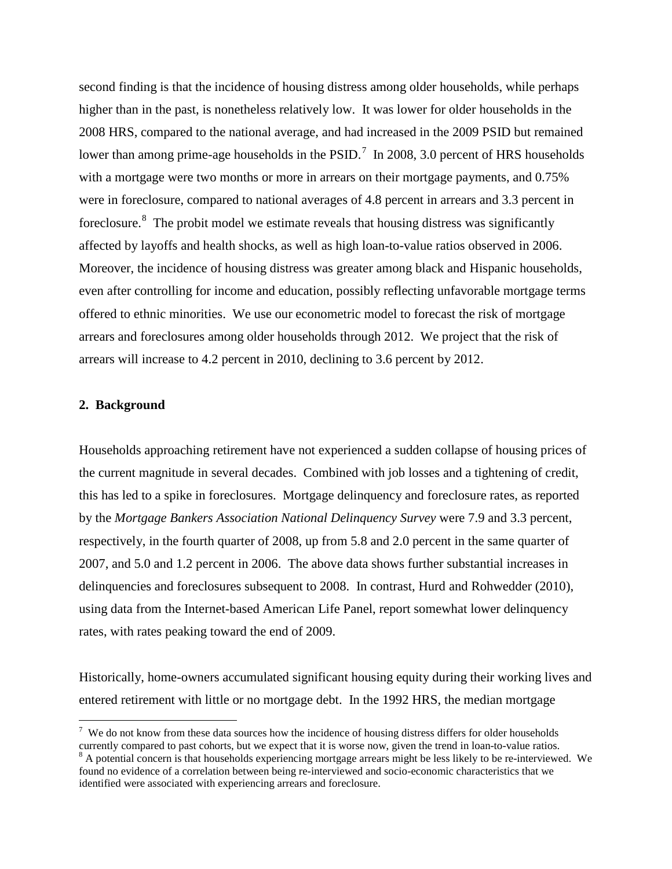second finding is that the incidence of housing distress among older households, while perhaps higher than in the past, is nonetheless relatively low. It was lower for older households in the 2008 HRS, compared to the national average, and had increased in the 2009 PSID but remained lower than among prime-age households in the PSID.<sup>[7](#page-6-0)</sup> In 2008, 3.0 percent of HRS households with a mortgage were two months or more in arrears on their mortgage payments, and 0.75% were in foreclosure, compared to national averages of 4.8 percent in arrears and 3.3 percent in foreclosure.<sup>[8](#page-6-1)</sup> The probit model we estimate reveals that housing distress was significantly affected by layoffs and health shocks, as well as high loan-to-value ratios observed in 2006. Moreover, the incidence of housing distress was greater among black and Hispanic households, even after controlling for income and education, possibly reflecting unfavorable mortgage terms offered to ethnic minorities. We use our econometric model to forecast the risk of mortgage arrears and foreclosures among older households through 2012. We project that the risk of arrears will increase to 4.2 percent in 2010, declining to 3.6 percent by 2012.

#### **2. Background**

Households approaching retirement have not experienced a sudden collapse of housing prices of the current magnitude in several decades. Combined with job losses and a tightening of credit, this has led to a spike in foreclosures. Mortgage delinquency and foreclosure rates, as reported by the *Mortgage Bankers Association National Delinquency Survey* were 7.9 and 3.3 percent, respectively, in the fourth quarter of 2008, up from 5.8 and 2.0 percent in the same quarter of 2007, and 5.0 and 1.2 percent in 2006. The above data shows further substantial increases in delinquencies and foreclosures subsequent to 2008. In contrast, Hurd and Rohwedder (2010), using data from the Internet-based American Life Panel, report somewhat lower delinquency rates, with rates peaking toward the end of 2009.

Historically, home-owners accumulated significant housing equity during their working lives and entered retirement with little or no mortgage debt. In the 1992 HRS, the median mortgage

<span id="page-6-0"></span><sup>&</sup>lt;sup>7</sup> We do not know from these data sources how the incidence of housing distress differs for older households currently compared to past cohorts, but we expect that it is worse now, given the trend in loan-to-value ratios.<br><sup>8</sup> A potential concern is that households experiencing mortgage arrears might be less likely to be re-interv

<span id="page-6-1"></span>found no evidence of a correlation between being re-interviewed and socio-economic characteristics that we identified were associated with experiencing arrears and foreclosure.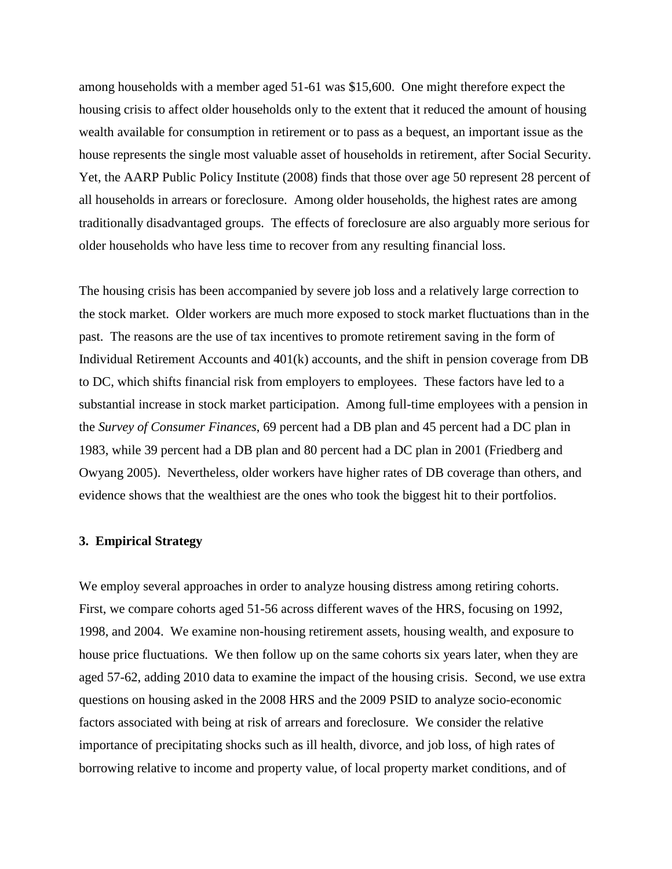among households with a member aged 51-61 was \$15,600. One might therefore expect the housing crisis to affect older households only to the extent that it reduced the amount of housing wealth available for consumption in retirement or to pass as a bequest, an important issue as the house represents the single most valuable asset of households in retirement, after Social Security. Yet, the AARP Public Policy Institute (2008) finds that those over age 50 represent 28 percent of all households in arrears or foreclosure. Among older households, the highest rates are among traditionally disadvantaged groups. The effects of foreclosure are also arguably more serious for older households who have less time to recover from any resulting financial loss.

The housing crisis has been accompanied by severe job loss and a relatively large correction to the stock market. Older workers are much more exposed to stock market fluctuations than in the past. The reasons are the use of tax incentives to promote retirement saving in the form of Individual Retirement Accounts and 401(k) accounts, and the shift in pension coverage from DB to DC, which shifts financial risk from employers to employees. These factors have led to a substantial increase in stock market participation. Among full-time employees with a pension in the *Survey of Consumer Finances*, 69 percent had a DB plan and 45 percent had a DC plan in 1983, while 39 percent had a DB plan and 80 percent had a DC plan in 2001 (Friedberg and Owyang 2005). Nevertheless, older workers have higher rates of DB coverage than others, and evidence shows that the wealthiest are the ones who took the biggest hit to their portfolios.

#### **3. Empirical Strategy**

We employ several approaches in order to analyze housing distress among retiring cohorts. First, we compare cohorts aged 51-56 across different waves of the HRS, focusing on 1992, 1998, and 2004. We examine non-housing retirement assets, housing wealth, and exposure to house price fluctuations. We then follow up on the same cohorts six years later, when they are aged 57-62, adding 2010 data to examine the impact of the housing crisis. Second, we use extra questions on housing asked in the 2008 HRS and the 2009 PSID to analyze socio-economic factors associated with being at risk of arrears and foreclosure. We consider the relative importance of precipitating shocks such as ill health, divorce, and job loss, of high rates of borrowing relative to income and property value, of local property market conditions, and of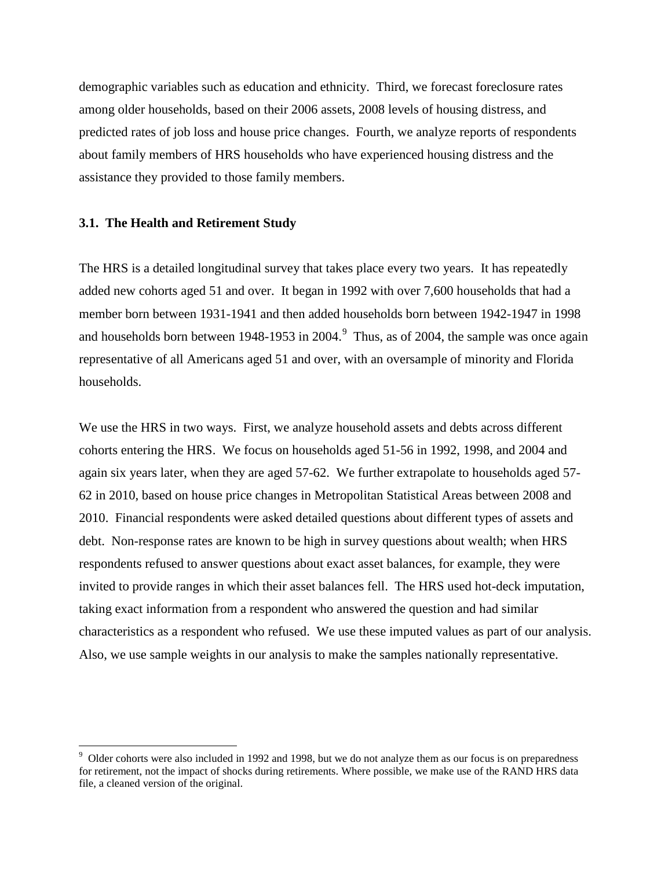demographic variables such as education and ethnicity. Third, we forecast foreclosure rates among older households, based on their 2006 assets, 2008 levels of housing distress, and predicted rates of job loss and house price changes. Fourth, we analyze reports of respondents about family members of HRS households who have experienced housing distress and the assistance they provided to those family members.

#### **3.1. The Health and Retirement Study**

 $\overline{a}$ 

The HRS is a detailed longitudinal survey that takes place every two years. It has repeatedly added new cohorts aged 51 and over. It began in 1992 with over 7,600 households that had a member born between 1931-1941 and then added households born between 1942-1947 in 1998 and households born between 1[9](#page-8-0)48-1953 in 2004.<sup>9</sup> Thus, as of 2004, the sample was once again representative of all Americans aged 51 and over, with an oversample of minority and Florida households.

We use the HRS in two ways. First, we analyze household assets and debts across different cohorts entering the HRS. We focus on households aged 51-56 in 1992, 1998, and 2004 and again six years later, when they are aged 57-62. We further extrapolate to households aged 57- 62 in 2010, based on house price changes in Metropolitan Statistical Areas between 2008 and 2010. Financial respondents were asked detailed questions about different types of assets and debt. Non-response rates are known to be high in survey questions about wealth; when HRS respondents refused to answer questions about exact asset balances, for example, they were invited to provide ranges in which their asset balances fell. The HRS used hot-deck imputation, taking exact information from a respondent who answered the question and had similar characteristics as a respondent who refused. We use these imputed values as part of our analysis. Also, we use sample weights in our analysis to make the samples nationally representative.

<span id="page-8-0"></span><sup>&</sup>lt;sup>9</sup> Older cohorts were also included in 1992 and 1998, but we do not analyze them as our focus is on preparedness for retirement, not the impact of shocks during retirements. Where possible, we make use of the RAND HRS data file, a cleaned version of the original.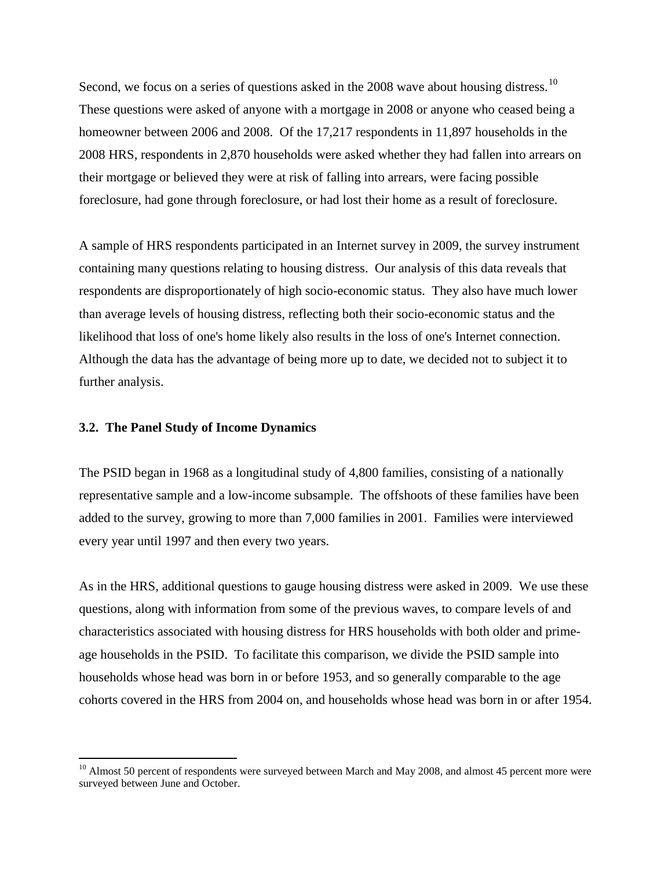Second, we focus on a series of questions asked in the 2008 wave about housing distress.<sup>[10](#page-9-0)</sup> These questions were asked of anyone with a mortgage in 2008 or anyone who ceased being a homeowner between 2006 and 2008. Of the 17,217 respondents in 11,897 households in the 2008 HRS, respondents in 2,870 households were asked whether they had fallen into arrears on their mortgage or believed they were at risk of falling into arrears, were facing possible foreclosure, had gone through foreclosure, or had lost their home as a result of foreclosure.

A sample of HRS respondents participated in an Internet survey in 2009, the survey instrument containing many questions relating to housing distress. Our analysis of this data reveals that respondents are disproportionately of high socio-economic status. They also have much lower than average levels of housing distress, reflecting both their socio-economic status and the likelihood that loss of one's home likely also results in the loss of one's Internet connection. Although the data has the advantage of being more up to date, we decided not to subject it to further analysis.

#### **3.2. The Panel Study of Income Dynamics**

 $\overline{a}$ 

The PSID began in 1968 as a longitudinal study of 4,800 families, consisting of a nationally representative sample and a low-income subsample. The offshoots of these families have been added to the survey, growing to more than 7,000 families in 2001. Families were interviewed every year until 1997 and then every two years.

As in the HRS, additional questions to gauge housing distress were asked in 2009. We use these questions, along with information from some of the previous waves, to compare levels of and characteristics associated with housing distress for HRS households with both older and primeage households in the PSID. To facilitate this comparison, we divide the PSID sample into households whose head was born in or before 1953, and so generally comparable to the age cohorts covered in the HRS from 2004 on, and households whose head was born in or after 1954.

<span id="page-9-0"></span><sup>&</sup>lt;sup>10</sup> Almost 50 percent of respondents were surveyed between March and May 2008, and almost 45 percent more were surveyed between June and October.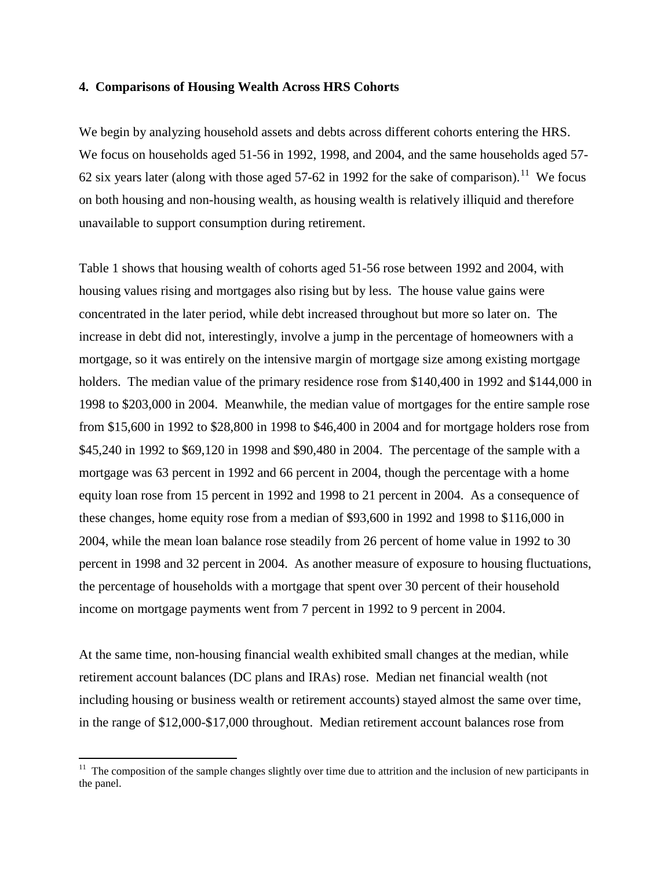#### **4. Comparisons of Housing Wealth Across HRS Cohorts**

We begin by analyzing household assets and debts across different cohorts entering the HRS. We focus on households aged 51-56 in 1992, 1998, and 2004, and the same households aged 57- 62 six years later (along with those aged 57-62 in 1992 for the sake of comparison).<sup>11</sup> We focus on both housing and non-housing wealth, as housing wealth is relatively illiquid and therefore unavailable to support consumption during retirement.

Table 1 shows that housing wealth of cohorts aged 51-56 rose between 1992 and 2004, with housing values rising and mortgages also rising but by less. The house value gains were concentrated in the later period, while debt increased throughout but more so later on. The increase in debt did not, interestingly, involve a jump in the percentage of homeowners with a mortgage, so it was entirely on the intensive margin of mortgage size among existing mortgage holders. The median value of the primary residence rose from \$140,400 in 1992 and \$144,000 in 1998 to \$203,000 in 2004. Meanwhile, the median value of mortgages for the entire sample rose from \$15,600 in 1992 to \$28,800 in 1998 to \$46,400 in 2004 and for mortgage holders rose from \$45,240 in 1992 to \$69,120 in 1998 and \$90,480 in 2004. The percentage of the sample with a mortgage was 63 percent in 1992 and 66 percent in 2004, though the percentage with a home equity loan rose from 15 percent in 1992 and 1998 to 21 percent in 2004. As a consequence of these changes, home equity rose from a median of \$93,600 in 1992 and 1998 to \$116,000 in 2004, while the mean loan balance rose steadily from 26 percent of home value in 1992 to 30 percent in 1998 and 32 percent in 2004. As another measure of exposure to housing fluctuations, the percentage of households with a mortgage that spent over 30 percent of their household income on mortgage payments went from 7 percent in 1992 to 9 percent in 2004.

At the same time, non-housing financial wealth exhibited small changes at the median, while retirement account balances (DC plans and IRAs) rose. Median net financial wealth (not including housing or business wealth or retirement accounts) stayed almost the same over time, in the range of \$12,000-\$17,000 throughout. Median retirement account balances rose from

 $\overline{a}$ 

<span id="page-10-0"></span> $11$  The composition of the sample changes slightly over time due to attrition and the inclusion of new participants in the panel.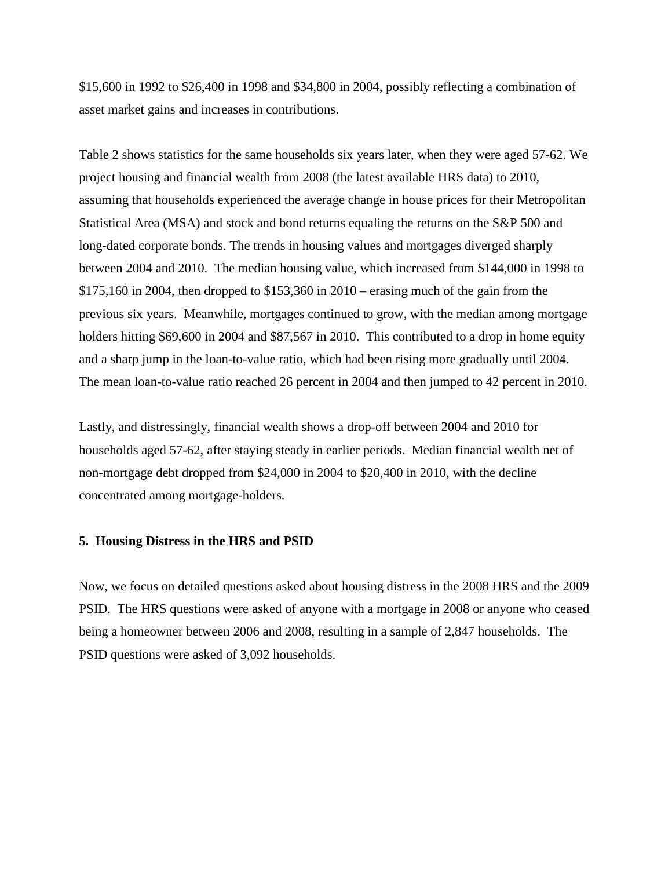\$15,600 in 1992 to \$26,400 in 1998 and \$34,800 in 2004, possibly reflecting a combination of asset market gains and increases in contributions.

Table 2 shows statistics for the same households six years later, when they were aged 57-62. We project housing and financial wealth from 2008 (the latest available HRS data) to 2010, assuming that households experienced the average change in house prices for their Metropolitan Statistical Area (MSA) and stock and bond returns equaling the returns on the S&P 500 and long-dated corporate bonds. The trends in housing values and mortgages diverged sharply between 2004 and 2010. The median housing value, which increased from \$144,000 in 1998 to \$175,160 in 2004, then dropped to \$153,360 in 2010 – erasing much of the gain from the previous six years. Meanwhile, mortgages continued to grow, with the median among mortgage holders hitting \$69,600 in 2004 and \$87,567 in 2010. This contributed to a drop in home equity and a sharp jump in the loan-to-value ratio, which had been rising more gradually until 2004. The mean loan-to-value ratio reached 26 percent in 2004 and then jumped to 42 percent in 2010.

Lastly, and distressingly, financial wealth shows a drop-off between 2004 and 2010 for households aged 57-62, after staying steady in earlier periods. Median financial wealth net of non-mortgage debt dropped from \$24,000 in 2004 to \$20,400 in 2010, with the decline concentrated among mortgage-holders.

### **5. Housing Distress in the HRS and PSID**

Now, we focus on detailed questions asked about housing distress in the 2008 HRS and the 2009 PSID. The HRS questions were asked of anyone with a mortgage in 2008 or anyone who ceased being a homeowner between 2006 and 2008, resulting in a sample of 2,847 households. The PSID questions were asked of 3,092 households.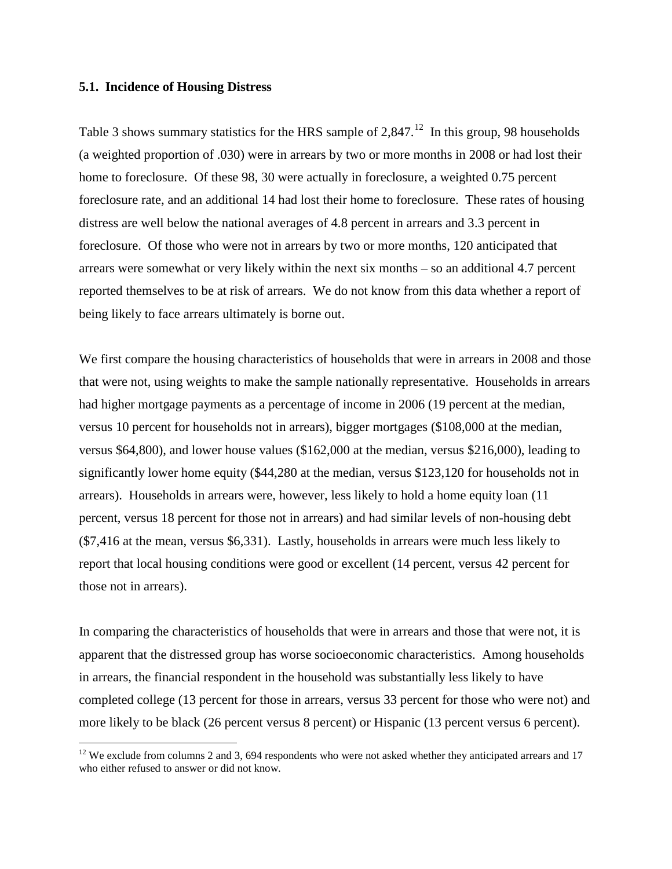#### **5.1. Incidence of Housing Distress**

 $\overline{a}$ 

Table 3 shows summary statistics for the HRS sample of  $2,847<sup>12</sup>$  $2,847<sup>12</sup>$  $2,847<sup>12</sup>$  In this group, 98 households (a weighted proportion of .030) were in arrears by two or more months in 2008 or had lost their home to foreclosure. Of these 98, 30 were actually in foreclosure, a weighted 0.75 percent foreclosure rate, and an additional 14 had lost their home to foreclosure. These rates of housing distress are well below the national averages of 4.8 percent in arrears and 3.3 percent in foreclosure. Of those who were not in arrears by two or more months, 120 anticipated that arrears were somewhat or very likely within the next six months – so an additional 4.7 percent reported themselves to be at risk of arrears. We do not know from this data whether a report of being likely to face arrears ultimately is borne out.

We first compare the housing characteristics of households that were in arrears in 2008 and those that were not, using weights to make the sample nationally representative. Households in arrears had higher mortgage payments as a percentage of income in 2006 (19 percent at the median, versus 10 percent for households not in arrears), bigger mortgages (\$108,000 at the median, versus \$64,800), and lower house values (\$162,000 at the median, versus \$216,000), leading to significantly lower home equity (\$44,280 at the median, versus \$123,120 for households not in arrears). Households in arrears were, however, less likely to hold a home equity loan (11 percent, versus 18 percent for those not in arrears) and had similar levels of non-housing debt (\$7,416 at the mean, versus \$6,331). Lastly, households in arrears were much less likely to report that local housing conditions were good or excellent (14 percent, versus 42 percent for those not in arrears).

In comparing the characteristics of households that were in arrears and those that were not, it is apparent that the distressed group has worse socioeconomic characteristics. Among households in arrears, the financial respondent in the household was substantially less likely to have completed college (13 percent for those in arrears, versus 33 percent for those who were not) and more likely to be black (26 percent versus 8 percent) or Hispanic (13 percent versus 6 percent).

<span id="page-12-0"></span> $12$  We exclude from columns 2 and 3, 694 respondents who were not asked whether they anticipated arrears and 17 who either refused to answer or did not know.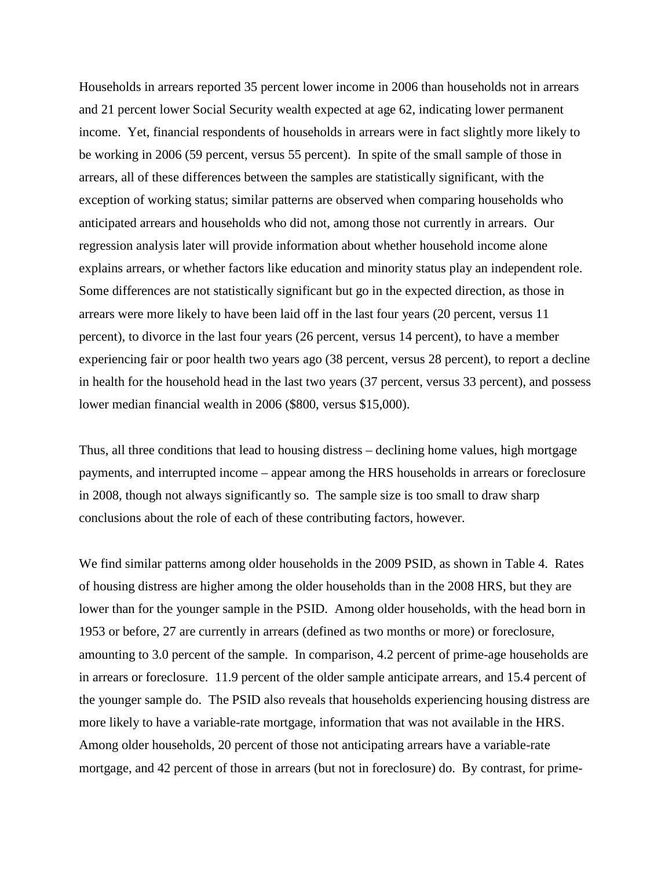Households in arrears reported 35 percent lower income in 2006 than households not in arrears and 21 percent lower Social Security wealth expected at age 62, indicating lower permanent income. Yet, financial respondents of households in arrears were in fact slightly more likely to be working in 2006 (59 percent, versus 55 percent). In spite of the small sample of those in arrears, all of these differences between the samples are statistically significant, with the exception of working status; similar patterns are observed when comparing households who anticipated arrears and households who did not, among those not currently in arrears. Our regression analysis later will provide information about whether household income alone explains arrears, or whether factors like education and minority status play an independent role. Some differences are not statistically significant but go in the expected direction, as those in arrears were more likely to have been laid off in the last four years (20 percent, versus 11 percent), to divorce in the last four years (26 percent, versus 14 percent), to have a member experiencing fair or poor health two years ago (38 percent, versus 28 percent), to report a decline in health for the household head in the last two years (37 percent, versus 33 percent), and possess lower median financial wealth in 2006 (\$800, versus \$15,000).

Thus, all three conditions that lead to housing distress – declining home values, high mortgage payments, and interrupted income – appear among the HRS households in arrears or foreclosure in 2008, though not always significantly so. The sample size is too small to draw sharp conclusions about the role of each of these contributing factors, however.

We find similar patterns among older households in the 2009 PSID, as shown in Table 4. Rates of housing distress are higher among the older households than in the 2008 HRS, but they are lower than for the younger sample in the PSID. Among older households, with the head born in 1953 or before, 27 are currently in arrears (defined as two months or more) or foreclosure, amounting to 3.0 percent of the sample. In comparison, 4.2 percent of prime-age households are in arrears or foreclosure. 11.9 percent of the older sample anticipate arrears, and 15.4 percent of the younger sample do. The PSID also reveals that households experiencing housing distress are more likely to have a variable-rate mortgage, information that was not available in the HRS. Among older households, 20 percent of those not anticipating arrears have a variable-rate mortgage, and 42 percent of those in arrears (but not in foreclosure) do. By contrast, for prime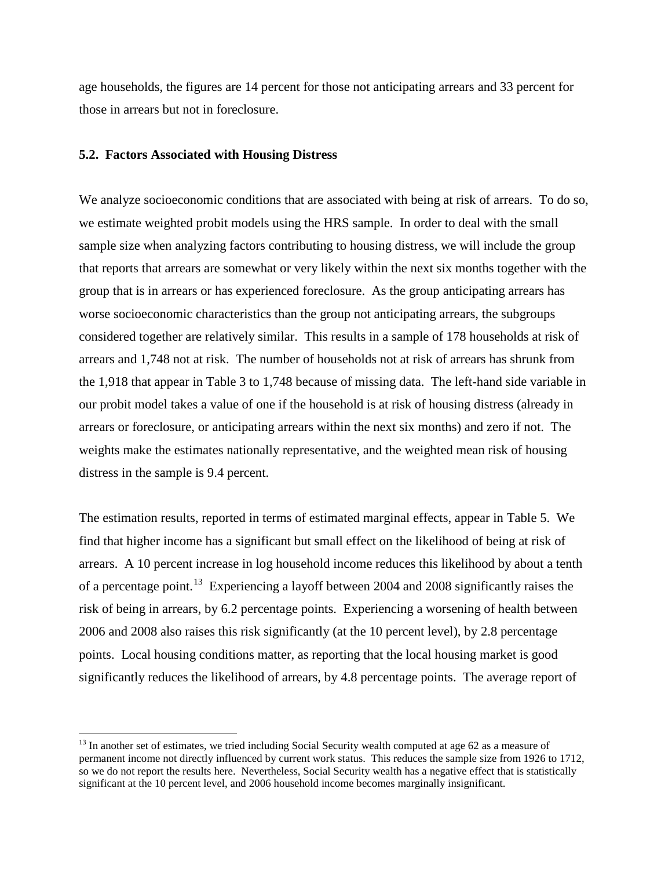age households, the figures are 14 percent for those not anticipating arrears and 33 percent for those in arrears but not in foreclosure.

#### **5.2. Factors Associated with Housing Distress**

 $\overline{a}$ 

We analyze socioeconomic conditions that are associated with being at risk of arrears. To do so, we estimate weighted probit models using the HRS sample. In order to deal with the small sample size when analyzing factors contributing to housing distress, we will include the group that reports that arrears are somewhat or very likely within the next six months together with the group that is in arrears or has experienced foreclosure. As the group anticipating arrears has worse socioeconomic characteristics than the group not anticipating arrears, the subgroups considered together are relatively similar. This results in a sample of 178 households at risk of arrears and 1,748 not at risk. The number of households not at risk of arrears has shrunk from the 1,918 that appear in Table 3 to 1,748 because of missing data. The left-hand side variable in our probit model takes a value of one if the household is at risk of housing distress (already in arrears or foreclosure, or anticipating arrears within the next six months) and zero if not. The weights make the estimates nationally representative, and the weighted mean risk of housing distress in the sample is 9.4 percent.

The estimation results, reported in terms of estimated marginal effects, appear in Table 5. We find that higher income has a significant but small effect on the likelihood of being at risk of arrears. A 10 percent increase in log household income reduces this likelihood by about a tenth of a percentage point.<sup>13</sup> Experiencing a layoff between 2004 and 2008 significantly raises the risk of being in arrears, by 6.2 percentage points. Experiencing a worsening of health between 2006 and 2008 also raises this risk significantly (at the 10 percent level), by 2.8 percentage points. Local housing conditions matter, as reporting that the local housing market is good significantly reduces the likelihood of arrears, by 4.8 percentage points. The average report of

<span id="page-14-0"></span> $13$  In another set of estimates, we tried including Social Security wealth computed at age 62 as a measure of permanent income not directly influenced by current work status. This reduces the sample size from 1926 to 1712, so we do not report the results here. Nevertheless, Social Security wealth has a negative effect that is statistically significant at the 10 percent level, and 2006 household income becomes marginally insignificant.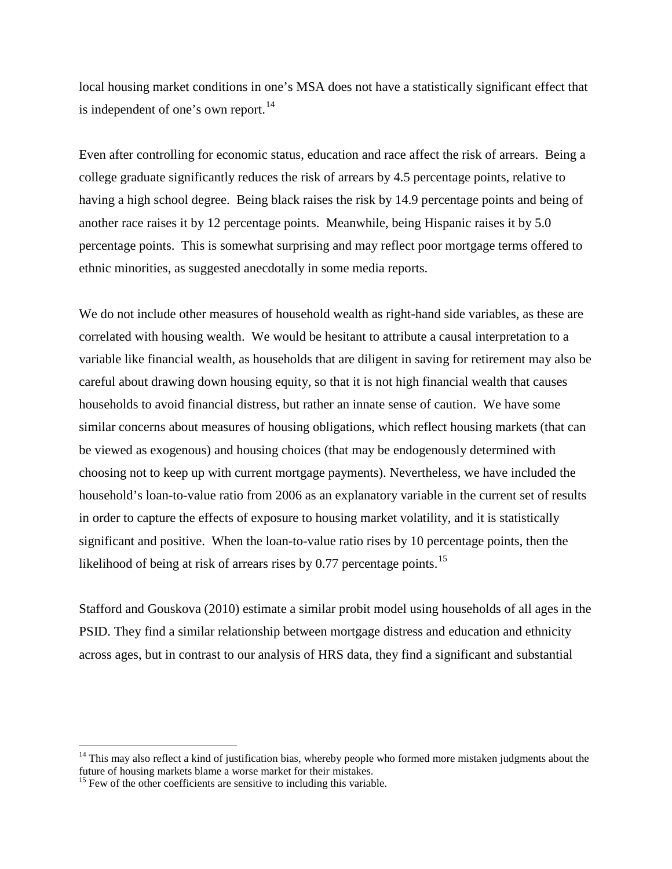local housing market conditions in one's MSA does not have a statistically significant effect that is independent of one's own report. $^{14}$  $^{14}$  $^{14}$ 

Even after controlling for economic status, education and race affect the risk of arrears. Being a college graduate significantly reduces the risk of arrears by 4.5 percentage points, relative to having a high school degree. Being black raises the risk by 14.9 percentage points and being of another race raises it by 12 percentage points. Meanwhile, being Hispanic raises it by 5.0 percentage points. This is somewhat surprising and may reflect poor mortgage terms offered to ethnic minorities, as suggested anecdotally in some media reports.

We do not include other measures of household wealth as right-hand side variables, as these are correlated with housing wealth. We would be hesitant to attribute a causal interpretation to a variable like financial wealth, as households that are diligent in saving for retirement may also be careful about drawing down housing equity, so that it is not high financial wealth that causes households to avoid financial distress, but rather an innate sense of caution. We have some similar concerns about measures of housing obligations, which reflect housing markets (that can be viewed as exogenous) and housing choices (that may be endogenously determined with choosing not to keep up with current mortgage payments). Nevertheless, we have included the household's loan-to-value ratio from 2006 as an explanatory variable in the current set of results in order to capture the effects of exposure to housing market volatility, and it is statistically significant and positive. When the loan-to-value ratio rises by 10 percentage points, then the likelihood of being at risk of arrears rises by 0.77 percentage points.<sup>[15](#page-15-1)</sup>

Stafford and Gouskova (2010) estimate a similar probit model using households of all ages in the PSID. They find a similar relationship between mortgage distress and education and ethnicity across ages, but in contrast to our analysis of HRS data, they find a significant and substantial

 $\overline{a}$ 

<span id="page-15-0"></span><sup>&</sup>lt;sup>14</sup> This may also reflect a kind of justification bias, whereby people who formed more mistaken judgments about the future of housing markets blame a worse market for their mistakes.

<span id="page-15-1"></span> $15$  Few of the other coefficients are sensitive to including this variable.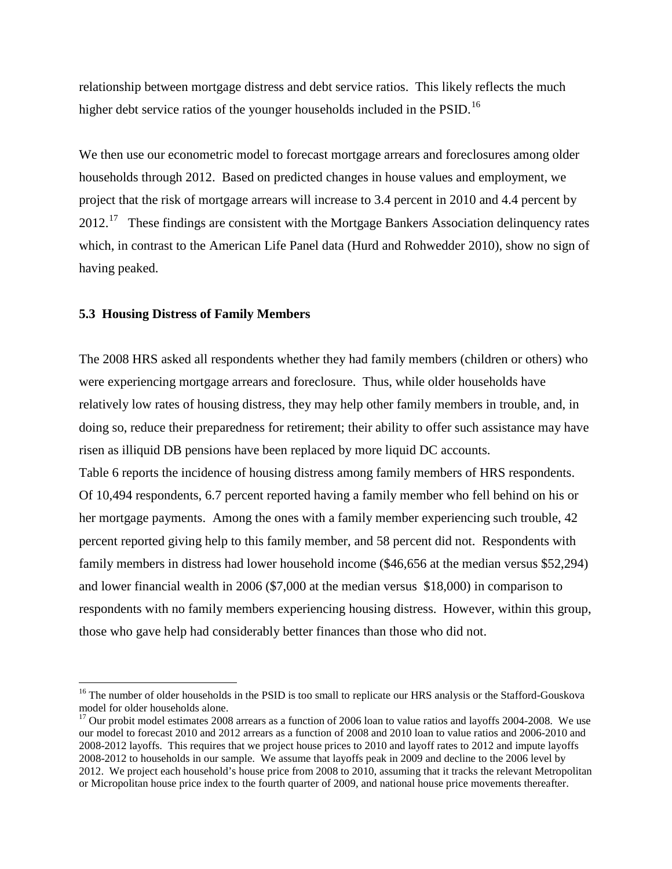relationship between mortgage distress and debt service ratios. This likely reflects the much higher debt service ratios of the younger households included in the  $PSID$ .<sup>16</sup>

We then use our econometric model to forecast mortgage arrears and foreclosures among older households through 2012. Based on predicted changes in house values and employment, we project that the risk of mortgage arrears will increase to 3.4 percent in 2010 and 4.4 percent by 2012.<sup>17</sup> These findings are consistent with the Mortgage Bankers Association delinquency rates which, in contrast to the American Life Panel data (Hurd and Rohwedder 2010), show no sign of having peaked.

#### **5.3 Housing Distress of Family Members**

 $\overline{a}$ 

The 2008 HRS asked all respondents whether they had family members (children or others) who were experiencing mortgage arrears and foreclosure. Thus, while older households have relatively low rates of housing distress, they may help other family members in trouble, and, in doing so, reduce their preparedness for retirement; their ability to offer such assistance may have risen as illiquid DB pensions have been replaced by more liquid DC accounts. Table 6 reports the incidence of housing distress among family members of HRS respondents. Of 10,494 respondents, 6.7 percent reported having a family member who fell behind on his or her mortgage payments. Among the ones with a family member experiencing such trouble, 42 percent reported giving help to this family member, and 58 percent did not. Respondents with family members in distress had lower household income (\$46,656 at the median versus \$52,294) and lower financial wealth in 2006 (\$7,000 at the median versus \$18,000) in comparison to respondents with no family members experiencing housing distress. However, within this group, those who gave help had considerably better finances than those who did not.

<span id="page-16-0"></span><sup>&</sup>lt;sup>16</sup> The number of older households in the PSID is too small to replicate our HRS analysis or the Stafford-Gouskova model for older households alone.

<span id="page-16-1"></span><sup>&</sup>lt;sup>17</sup> Our probit model estimates 2008 arrears as a function of 2006 loan to value ratios and layoffs 2004-2008. We use our model to forecast 2010 and 2012 arrears as a function of 2008 and 2010 loan to value ratios and 2006-2010 and 2008-2012 layoffs. This requires that we project house prices to 2010 and layoff rates to 2012 and impute layoffs 2008-2012 to households in our sample. We assume that layoffs peak in 2009 and decline to the 2006 level by 2012. We project each household's house price from 2008 to 2010, assuming that it tracks the relevant Metropolitan or Micropolitan house price index to the fourth quarter of 2009, and national house price movements thereafter.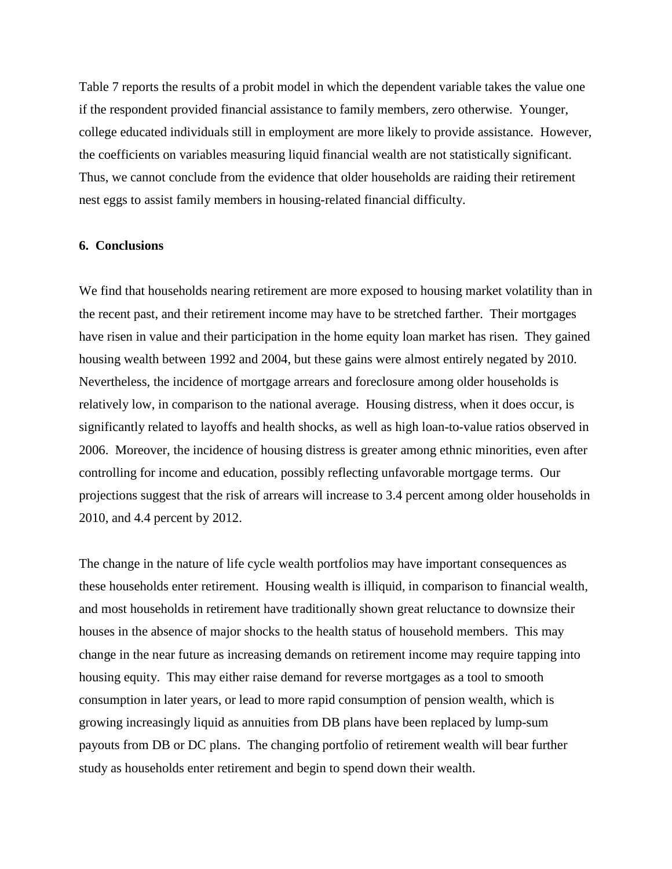Table 7 reports the results of a probit model in which the dependent variable takes the value one if the respondent provided financial assistance to family members, zero otherwise. Younger, college educated individuals still in employment are more likely to provide assistance. However, the coefficients on variables measuring liquid financial wealth are not statistically significant. Thus, we cannot conclude from the evidence that older households are raiding their retirement nest eggs to assist family members in housing-related financial difficulty.

#### **6. Conclusions**

We find that households nearing retirement are more exposed to housing market volatility than in the recent past, and their retirement income may have to be stretched farther. Their mortgages have risen in value and their participation in the home equity loan market has risen. They gained housing wealth between 1992 and 2004, but these gains were almost entirely negated by 2010. Nevertheless, the incidence of mortgage arrears and foreclosure among older households is relatively low, in comparison to the national average. Housing distress, when it does occur, is significantly related to layoffs and health shocks, as well as high loan-to-value ratios observed in 2006. Moreover, the incidence of housing distress is greater among ethnic minorities, even after controlling for income and education, possibly reflecting unfavorable mortgage terms. Our projections suggest that the risk of arrears will increase to 3.4 percent among older households in 2010, and 4.4 percent by 2012.

The change in the nature of life cycle wealth portfolios may have important consequences as these households enter retirement. Housing wealth is illiquid, in comparison to financial wealth, and most households in retirement have traditionally shown great reluctance to downsize their houses in the absence of major shocks to the health status of household members. This may change in the near future as increasing demands on retirement income may require tapping into housing equity. This may either raise demand for reverse mortgages as a tool to smooth consumption in later years, or lead to more rapid consumption of pension wealth, which is growing increasingly liquid as annuities from DB plans have been replaced by lump-sum payouts from DB or DC plans. The changing portfolio of retirement wealth will bear further study as households enter retirement and begin to spend down their wealth.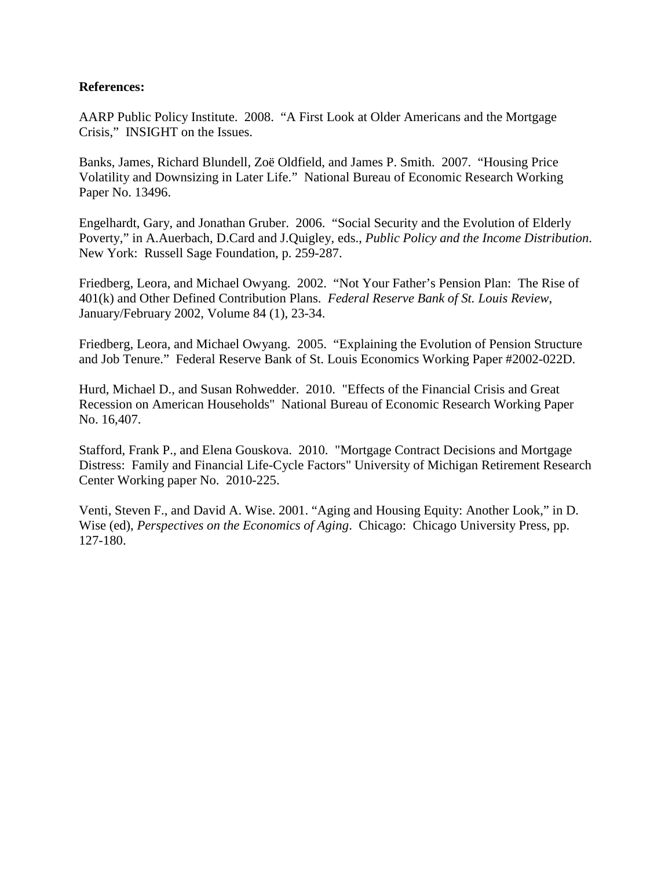## **References:**

AARP Public Policy Institute. 2008. "A First Look at Older Americans and the Mortgage Crisis," INSIGHT on the Issues.

Banks, James, Richard Blundell, Zoë Oldfield, and James P. Smith. 2007. "Housing Price Volatility and Downsizing in Later Life." National Bureau of Economic Research Working Paper No. 13496.

Engelhardt, Gary, and Jonathan Gruber. 2006. "Social Security and the Evolution of Elderly Poverty," in A.Auerbach, D.Card and J.Quigley, eds., *Public Policy and the Income Distribution*. New York: Russell Sage Foundation, p. 259-287.

Friedberg, Leora, and Michael Owyang. 2002. "Not Your Father's Pension Plan: The Rise of 401(k) and Other Defined Contribution Plans. *Federal Reserve Bank of St. Louis Review*, January/February 2002, Volume 84 (1), 23-34.

Friedberg, Leora, and Michael Owyang. 2005. "Explaining the Evolution of Pension Structure and Job Tenure." Federal Reserve Bank of St. Louis Economics Working Paper #2002-022D.

Hurd, Michael D., and Susan Rohwedder. 2010. "Effects of the Financial Crisis and Great Recession on American Households" National Bureau of Economic Research Working Paper No. 16,407.

Stafford, Frank P., and Elena Gouskova. 2010. "Mortgage Contract Decisions and Mortgage Distress: Family and Financial Life-Cycle Factors" University of Michigan Retirement Research Center Working paper No. 2010-225.

Venti, Steven F., and David A. Wise. 2001. "Aging and Housing Equity: Another Look," in D. Wise (ed), *Perspectives on the Economics of Aging*. Chicago: Chicago University Press, pp. 127-180.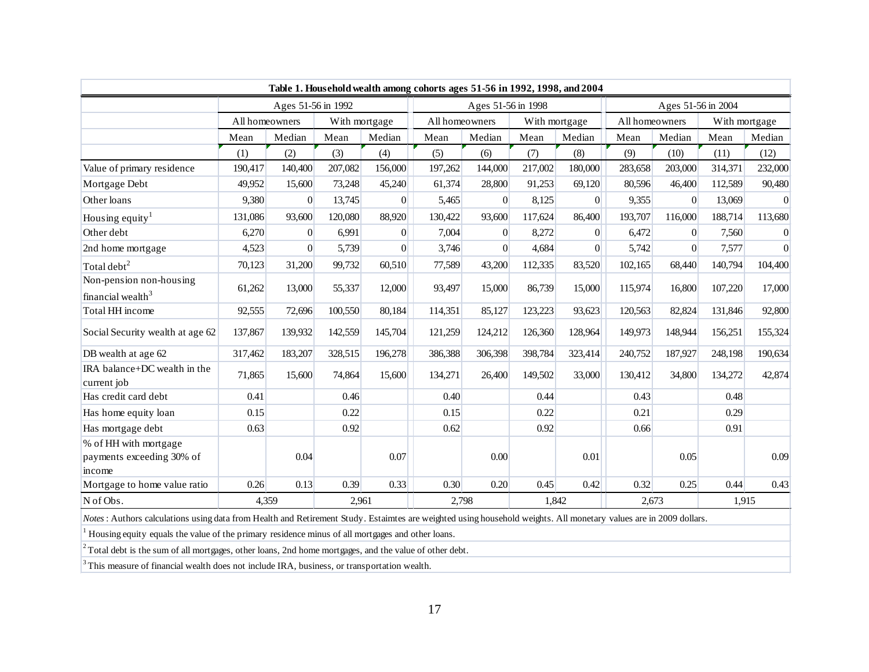|                                                              |                                                                                                                                                                    |                    |                |          | Table 1. Household wealth among cohorts ages 51-56 in 1992, 1998, and 2004 |                    |                |                |                    |          |         |                 |
|--------------------------------------------------------------|--------------------------------------------------------------------------------------------------------------------------------------------------------------------|--------------------|----------------|----------|----------------------------------------------------------------------------|--------------------|----------------|----------------|--------------------|----------|---------|-----------------|
|                                                              |                                                                                                                                                                    | Ages 51-56 in 1992 |                |          |                                                                            | Ages 51-56 in 1998 |                |                | Ages 51-56 in 2004 |          |         |                 |
|                                                              | All homeowners<br>With mortgage                                                                                                                                    |                    | All homeowners |          | With mortgage                                                              |                    | All homeowners |                | With mortgage      |          |         |                 |
|                                                              | Mean                                                                                                                                                               | Median             | Mean           | Median   | Mean                                                                       | Median             | Mean           | Median         | Mean               | Median   | Mean    | Median          |
|                                                              | (1)                                                                                                                                                                | (2)                | (3)            | (4)      | (5)                                                                        | (6)                | (7)            | (8)            | (9)                | (10)     | (11)    | (12)            |
| Value of primary residence                                   | 190,417                                                                                                                                                            | 140,400            | 207,082        | 156,000  | 197,262                                                                    | 144,000            | 217,002        | 180,000        | 283,658            | 203,000  | 314,371 | 232,000         |
| Mortgage Debt                                                | 49,952                                                                                                                                                             | 15,600             | 73,248         | 45,240   | 61,374                                                                     | 28,800             | 91,253         | 69,120         | 80,596             | 46,400   | 112,589 | 90,480          |
| Other loans                                                  | 9,380                                                                                                                                                              | $\overline{0}$     | 13,745         | $\Omega$ | 5,465                                                                      | $\Omega$           | 8,125          | $\overline{0}$ | 9,355              | $\Omega$ | 13,069  | $\Omega$        |
| Housing equity <sup>1</sup>                                  | 131,086                                                                                                                                                            | 93,600             | 120,080        | 88,920   | 130,422                                                                    | 93,600             | 117,624        | 86,400         | 193,707            | 116,000  | 188,714 | 113,680         |
| Other debt                                                   | 6,270                                                                                                                                                              | $\Omega$           | 6,991          | $\Omega$ | 7,004                                                                      | $\Omega$           | 8,272          | $\overline{0}$ | 6,472              | $\Omega$ | 7,560   | $\vert 0 \vert$ |
| 2nd home mortgage                                            | 4,523                                                                                                                                                              | $\Omega$           | 5,739          | $\Omega$ | 3,746                                                                      | $\Omega$           | 4,684          | $\overline{0}$ | 5,742              | $\Omega$ | 7,577   | $\Omega$        |
| Total debt <sup>2</sup>                                      | 70,123                                                                                                                                                             | 31,200             | 99,732         | 60,510   | 77,589                                                                     | 43,200             | 112,335        | 83,520         | 102,165            | 68,440   | 140,794 | 104,400         |
| Non-pension non-housing<br>financial wealth <sup>3</sup>     | 61,262                                                                                                                                                             | 13,000             | 55,337         | 12,000   | 93,497                                                                     | 15,000             | 86,739         | 15,000         | 115,974            | 16,800   | 107,220 | 17,000          |
| Total HH income                                              | 92,555                                                                                                                                                             | 72,696             | 100,550        | 80,184   | 114,351                                                                    | 85,127             | 123,223        | 93,623         | 120,563            | 82,824   | 131,846 | 92,800          |
| Social Security wealth at age 62                             | 137,867                                                                                                                                                            | 139,932            | 142,559        | 145,704  | 121,259                                                                    | 124,212            | 126,360        | 128,964        | 149,973            | 148,944  | 156,251 | 155,324         |
| DB wealth at age 62                                          | 317,462                                                                                                                                                            | 183,207            | 328,515        | 196,278  | 386,388                                                                    | 306,398            | 398,784        | 323,414        | 240,752            | 187,927  | 248,198 | 190,634         |
| IRA balance+DC wealth in the<br>current job                  | 71,865                                                                                                                                                             | 15,600             | 74,864         | 15,600   | 134,271                                                                    | 26,400             | 149,502        | 33,000         | 130,412            | 34,800   | 134,272 | 42,874          |
| Has credit card debt                                         | 0.41                                                                                                                                                               |                    | 0.46           |          | 0.40                                                                       |                    | 0.44           |                | 0.43               |          | 0.48    |                 |
| Has home equity loan                                         | 0.15                                                                                                                                                               |                    | 0.22           |          | 0.15                                                                       |                    | 0.22           |                | 0.21               |          | 0.29    |                 |
| Has mortgage debt                                            | 0.63                                                                                                                                                               |                    | 0.92           |          | 0.62                                                                       |                    | 0.92           |                | 0.66               |          | 0.91    |                 |
| % of HH with mortgage<br>payments exceeding 30% of<br>income |                                                                                                                                                                    | 0.04               |                | 0.07     |                                                                            | 0.00               |                | 0.01           |                    | 0.05     |         | 0.09            |
| Mortgage to home value ratio                                 | 0.26                                                                                                                                                               | 0.13               | 0.39           | 0.33     | 0.30                                                                       | 0.20               | 0.45           | 0.42           | 0.32               | 0.25     | 0.44    | 0.43            |
| N of Obs.                                                    | 4.359                                                                                                                                                              |                    | 2,961          |          | 2,798                                                                      |                    | 1,842          |                | 2,673<br>1,915     |          |         |                 |
|                                                              | Notes : Authors calculations using data from Health and Retirement Study. Estaimtes are weighted using household weights. All monetary values are in 2009 dollars. |                    |                |          |                                                                            |                    |                |                |                    |          |         |                 |

 $1$  Housing equity equals the value of the primary residence minus of all mortgages and other loans.

<sup>2</sup> Total debt is the sum of all mortgages, other loans, 2nd home mortgages, and the value of other debt.

<sup>3</sup> This measure of financial wealth does not include IRA, business, or transportation wealth.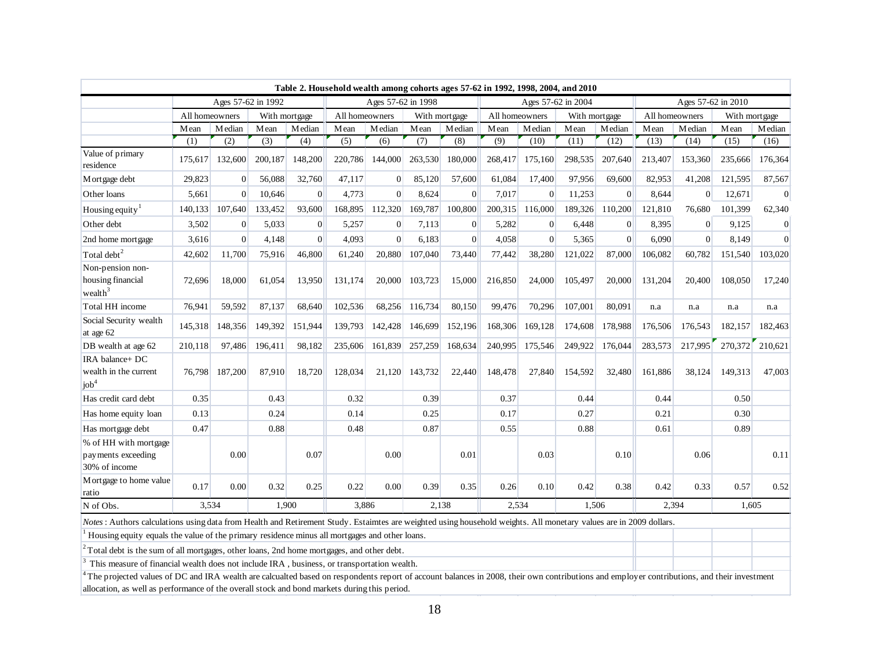| Ages 57-62 in 1992<br>Ages 57-62 in 1998<br>All homeowners<br>All homeowners<br>With mortgage<br>With mortgage<br>Median<br>Median<br>Mean<br>Median<br>Mean<br>Mean<br>Mean | Median<br>Mean     | Ages 57-62 in 2004<br>All homeowners |               |                |                |                    |                 |                |  |
|------------------------------------------------------------------------------------------------------------------------------------------------------------------------------|--------------------|--------------------------------------|---------------|----------------|----------------|--------------------|-----------------|----------------|--|
|                                                                                                                                                                              |                    |                                      |               |                |                | Ages 57-62 in 2010 |                 |                |  |
|                                                                                                                                                                              |                    |                                      | With mortgage |                | All homeowners |                    | With mortgage   |                |  |
|                                                                                                                                                                              |                    | Median                               | Mean          | Median         | Mean           | Median             | Mean            | Median         |  |
| (2)<br>(5)<br>(7)<br>(1)<br>(3)<br>(4)<br>(6)                                                                                                                                | (8)<br>(9)         | (10)                                 | (11)          | (12)           | (13)           | (14)               | (15)            | (16)           |  |
| Value of primary<br>175,617<br>148,200<br>220,786<br>144,000<br>263,530<br>132,600<br>200,187<br>residence                                                                   | 180,000<br>268,417 | 175,160                              | 298,535       | 207,640        | 213,407        | 153,360            | 235,666         | 176,364        |  |
| 56,088<br>29,823<br>$\Omega$<br>32,760<br>47,117<br>$\Omega$<br>85,120<br>M ortgage debt                                                                                     | 57,600<br>61,084   | 17,400                               | 97,956        | 69,600         | 82,953         | 41,208             | 121,595         | 87,567         |  |
| Other loans<br>$\Omega$<br>10,646<br>$\Omega$<br>4,773<br>$\Omega$<br>8,624<br>5,661                                                                                         | $\Omega$<br>7,017  | $\Omega$                             | 11,253        | $\Omega$       | 8,644          | $\Omega$           | 12,671          | $\overline{0}$ |  |
| 107,640<br>133,452<br>169,787<br>Housing equity <sup>1</sup><br>140,133<br>93,600<br>168,895<br>112,320                                                                      | 100,800<br>200,315 | 116,000                              | 189,326       | 110,200        | 121,810        | 76,680             | 101,399         | 62,340         |  |
| Other debt<br>3,502<br>5.033<br>$\overline{0}$<br>$\overline{0}$<br>5.257<br>$\overline{0}$<br>7.113                                                                         | 5,282<br>$\Omega$  | $\overline{0}$                       | 6.448         | $\overline{0}$ | 8.395          | $\overline{0}$     | 9.125           | $\overline{0}$ |  |
| $\Omega$<br>$\Omega$<br>$\Omega$<br>2nd home mortgage<br>3,616<br>4,148<br>4,093<br>6,183                                                                                    | $\Omega$<br>4,058  | $\Omega$                             | 5,365         | $\Omega$       | 6.090          | $\Omega$           | 8,149           | $\Omega$       |  |
| Total $\mathrm{debt}^2$<br>42,602<br>75,916<br>46,800<br>20,880<br>107,040<br>11,700<br>61,240                                                                               | 73,440<br>77,442   | 38,280                               | 121,022       | 87,000         | 106,082        | 60,782             | 151,540         | 103,020        |  |
| Non-pension non-<br>housing financial<br>72,696<br>18,000<br>61,054<br>13,950<br>131,174<br>20,000<br>103,723<br>wealth $3$                                                  | 15,000<br>216,850  | 24,000                               | 105,497       | 20,000         | 131,204        | 20,400             | 108,050         | 17,240         |  |
| Total HH income<br>102.536<br>76.941<br>59,592<br>87.137<br>68,640<br>68.256<br>116,734                                                                                      | 80.150<br>99.476   | 70,296                               | 107.001       | 80.091         | n.a            | n.a                | n.a             | n.a            |  |
| Social Security wealth<br>139,793<br>145,318<br>148,356<br>149,392<br>151,944<br>142,428<br>146,699<br>at age 62                                                             | 152,196<br>168,306 | 169,128                              | 174,608       | 178,988        | 176,506        | 176,543            | 182,157         | 182,463        |  |
| 210,118<br>97,486<br>196,411<br>98,182<br>161,839<br>257,259<br>DB wealth at age 62<br>235,606                                                                               | 168,634<br>240,995 | 175,546                              | 249,922       | 176,044        | 283,573        | 217,995            | 270,372 210,621 |                |  |
| IRA balance+ DC<br>wealth in the current<br>76,798<br>187,200<br>87,910<br>18,720<br>128,034<br>21,120<br>143,732<br>job <sup>4</sup>                                        | 22,440<br>148,478  | 27,840                               | 154,592       | 32,480         | 161,886        | 38,124             | 149,313         | 47,003         |  |
| Has credit card debt<br>0.32<br>0.39<br>0.35<br>0.43                                                                                                                         | 0.37               |                                      | 0.44          |                | 0.44           |                    | 0.50            |                |  |
| 0.13<br>0.24<br>0.14<br>0.25<br>Has home equity loan                                                                                                                         | 0.17               |                                      | 0.27          |                | 0.21           |                    | 0.30            |                |  |
| 0.47<br>0.88<br>0.48<br>0.87<br>Has mortgage debt                                                                                                                            | 0.55               |                                      | 0.88          |                | 0.61           |                    | 0.89            |                |  |
| % of HH with mortgage<br>0.00<br>0.00<br>0.07<br>payments exceeding<br>30% of income                                                                                         | 0.01               | 0.03                                 |               | 0.10           |                | 0.06               |                 | 0.11           |  |
| Mortgage to home value<br>0.17<br>0.00<br>0.32<br>0.22<br>0.00<br>0.39<br>0.25<br>ratio                                                                                      | 0.35<br>0.26       | 0.10                                 | 0.42          | 0.38           | 0.42           | 0.33               | 0.57            | 0.52           |  |
| 3,534<br>1.900<br>3,886<br>2,138<br>N of Obs.                                                                                                                                |                    | 2,534                                | 1,506         |                | 2,394          |                    | 1,605           |                |  |

*Notes*: Authors calculations using data from Health and Retirement Study. Estaimtes are weighted using household weights. All monetary values are in 2009 dollars.

 $<sup>1</sup>$  Housing equity equals the value of the primary residence minus all mortgages and other loans.</sup>

 $2$  Total debt is the sum of all mortgages, other loans, 2nd home mortgages, and other debt.

<sup>3</sup> This measure of financial wealth does not include IRA, business, or transportation wealth.

<sup>4</sup>The projected values of DC and IRA wealth are calcualted based on respondents report of account balances in 2008, their own contributions and employer contributions, and their investment allocation, as well as performance of the overall stock and bond markets during this period.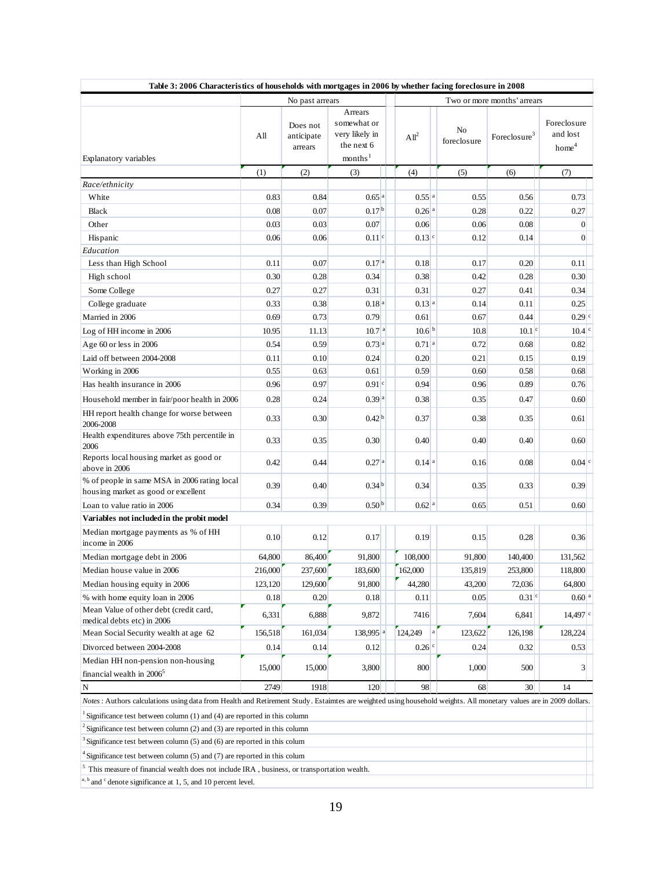| No past arrears<br>Arrears<br>somewhat or<br>Does not<br>very likely in<br>All<br>anticipate<br>All <sup>2</sup><br>the next 6<br>arrears<br>months <sup>1</sup><br>Explanatory variables<br>(1)<br>(2)<br>(3)<br>(4)<br>Race/ethnicity<br>0.65 <sup>a</sup><br>0.83<br>0.84<br>$0.55$ <sup>a</sup><br>White | No<br>foreclosure<br>(5)<br>0.55<br>0.28 | Two or more months' arrears<br>Foreclosure <sup>3</sup><br>(6)<br>0.56 | Foreclosure<br>and lost<br>home <sup>4</sup><br>(7) |
|--------------------------------------------------------------------------------------------------------------------------------------------------------------------------------------------------------------------------------------------------------------------------------------------------------------|------------------------------------------|------------------------------------------------------------------------|-----------------------------------------------------|
|                                                                                                                                                                                                                                                                                                              |                                          |                                                                        |                                                     |
|                                                                                                                                                                                                                                                                                                              |                                          |                                                                        |                                                     |
|                                                                                                                                                                                                                                                                                                              |                                          |                                                                        |                                                     |
|                                                                                                                                                                                                                                                                                                              |                                          |                                                                        |                                                     |
|                                                                                                                                                                                                                                                                                                              |                                          |                                                                        | 0.73                                                |
| 0.17 <sup>b</sup><br><b>Black</b><br>0.08<br>0.07<br>$0.26$ <sup>a</sup>                                                                                                                                                                                                                                     |                                          | 0.22                                                                   | 0.27                                                |
| 0.03<br>0.03<br>Other<br>0.07<br>0.06                                                                                                                                                                                                                                                                        | 0.06                                     | 0.08                                                                   | $\overline{0}$                                      |
| $0.11$ <sup>c</sup><br>$0.13$ <sup>c</sup><br>Hispanic<br>0.06<br>0.06                                                                                                                                                                                                                                       | 0.12                                     | 0.14                                                                   | $\boldsymbol{0}$                                    |
| Education                                                                                                                                                                                                                                                                                                    |                                          |                                                                        |                                                     |
| 0.11<br>0.07<br>0.17 <sup>a</sup><br>0.18<br>Less than High School                                                                                                                                                                                                                                           | 0.17                                     | 0.20                                                                   | 0.11                                                |
| 0.30<br>0.28<br>0.34<br>0.38<br>High school                                                                                                                                                                                                                                                                  | 0.42                                     | 0.28                                                                   | 0.30                                                |
| 0.27<br>0.31<br>0.31<br>Some College<br>0.27                                                                                                                                                                                                                                                                 | 0.27                                     | 0.41                                                                   | 0.34                                                |
| 0.18 <sup>a</sup><br>0.13 <sup>a</sup><br>0.33<br>0.38<br>College graduate                                                                                                                                                                                                                                   | 0.14                                     | 0.11                                                                   | 0.25                                                |
| 0.73<br>Married in 2006<br>0.69<br>0.79<br>0.61                                                                                                                                                                                                                                                              | 0.67                                     | 0.44                                                                   | $0.29$ <sup>c</sup>                                 |
| 10.6 <sup>b</sup><br>10.7 <sup>a</sup><br>10.95<br>11.13<br>Log of HH income in 2006                                                                                                                                                                                                                         | 10.8                                     | $10.1$ <sup>c</sup>                                                    | $10.4$ <sup>c</sup>                                 |
| 0.54<br>0.59<br>$0.71$ <sup>a</sup><br>Age 60 or less in 2006<br>0.73a                                                                                                                                                                                                                                       | 0.72                                     | 0.68                                                                   | 0.82                                                |
| 0.10<br>Laid off between 2004-2008<br>0.11<br>0.24<br>0.20                                                                                                                                                                                                                                                   | 0.21                                     | 0.15                                                                   | 0.19                                                |
| 0.55<br>0.63<br>0.59<br>Working in 2006<br>0.61                                                                                                                                                                                                                                                              | 0.60                                     | 0.58                                                                   | 0.68                                                |
| 0.96<br>0.97<br>0.91 <sup>c</sup><br>Has health insurance in 2006<br>0.94                                                                                                                                                                                                                                    | 0.96                                     | 0.89                                                                   | 0.76                                                |
| 0.28<br>0.39 <sup>a</sup><br>0.38<br>0.24<br>Household member in fair/poor health in 2006                                                                                                                                                                                                                    | 0.35                                     | 0.47                                                                   | 0.60                                                |
| HH report health change for worse between<br>0.42 <sup>b</sup><br>0.33<br>0.30<br>0.37<br>2006-2008                                                                                                                                                                                                          | 0.38                                     | 0.35                                                                   | 0.61                                                |
| Health expenditures above 75th percentile in<br>0.33<br>0.35<br>0.30<br>0.40<br>2006                                                                                                                                                                                                                         | 0.40                                     | 0.40                                                                   | 0.60                                                |
| Reports local housing market as good or<br>0.27 <sup>a</sup><br>0.42<br>0.44<br>$0.14$ <sup>a</sup><br>above in 2006                                                                                                                                                                                         | 0.16                                     | 0.08                                                                   | $0.04$ <sup>c</sup>                                 |
| % of people in same MSA in 2006 rating local<br>0.34 <sup>b</sup><br>0.39<br>0.40<br>0.34<br>housing market as good or excellent                                                                                                                                                                             | 0.35                                     | 0.33                                                                   | 0.39                                                |
| Loan to value ratio in 2006<br>0.34<br>0.39<br>0.50 <sup>b</sup><br>$0.62$ <sup>a</sup>                                                                                                                                                                                                                      | 0.65                                     | 0.51                                                                   | 0.60                                                |
| Variables not included in the probit model                                                                                                                                                                                                                                                                   |                                          |                                                                        |                                                     |
| Median mortgage payments as % of HH<br>0.10<br>0.12<br>0.17<br>0.19<br>income in 2006                                                                                                                                                                                                                        | 0.15                                     | 0.28                                                                   | 0.36                                                |
| 86,400<br>Median mortgage debt in 2006<br>64,800<br>91,800<br>108,000                                                                                                                                                                                                                                        | 91,800                                   | 140,400                                                                | 131,562                                             |
| 216,000<br>237,600<br>162,000<br>183,600<br>Median house value in 2006                                                                                                                                                                                                                                       | 135,819                                  | 253,800                                                                | 118,800                                             |
| 129,600<br>91,800<br>44,280<br>123,120<br>Median housing equity in 2006                                                                                                                                                                                                                                      | 43,200                                   | 72,036                                                                 | 64,800                                              |
| % with home equity loan in 2006<br>0.20<br>0.18<br>0.11<br>0.18                                                                                                                                                                                                                                              | 0.05                                     | $0.31$ <sup>c</sup>                                                    | 0.60 <sup>a</sup>                                   |
| Mean Value of other debt (credit card,<br>6,888<br>6,331<br>9,872<br>7416<br>medical debts etc) in 2006                                                                                                                                                                                                      | 7,604                                    | 6,841                                                                  | $14,497$ <sup>c</sup>                               |
| a<br>161,034<br>138,995 <sup>a</sup><br>124,249<br>Mean Social Security wealth at age 62<br>156,518                                                                                                                                                                                                          | 123,622                                  | 126,198                                                                | 128,224                                             |
| Divorced between 2004-2008<br>0.14<br>0.14<br>0.12<br>$0.26$ <sup>c</sup>                                                                                                                                                                                                                                    | 0.24                                     | 0.32                                                                   | 0.53                                                |
| Median HH non-pension non-housing<br>15,000<br>15,000<br>3,800<br>800<br>financial wealth in $2006^5$                                                                                                                                                                                                        | 1,000                                    | 500                                                                    | 3                                                   |
| $\mathbf N$<br>2749<br>1918<br>120<br>98                                                                                                                                                                                                                                                                     | 68                                       | 30                                                                     | 14                                                  |
| Notes: Authors calculations using data from Health and Retirement Study. Estaimtes are weighted using household weights. All monetary values are in 2009 dollars.                                                                                                                                            |                                          |                                                                        |                                                     |

<sup>1</sup> Significance test between column (1) and (4) are reported in this column

 $2$  Significance test between column (2) and (3) are reported in this column

 $^3$  Significance test between column (5) and (6) are reported in this column

 $^4$  Significance test between column (5) and (7) are reported in this colum

 $^5$  This measure of financial wealth does not include IRA , business, or transportation wealth.

 $a, b$  and  $c$  denote significance at 1, 5, and 10 percent level.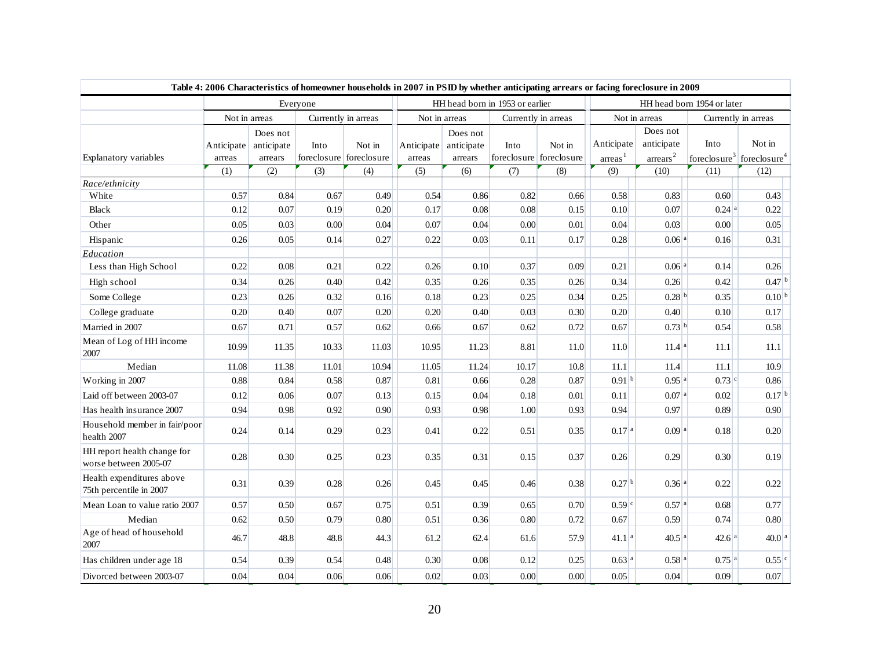| Table 4: 2006 Characteristics of homeowner households in 2007 in PSID by whether anticipating arrears or facing foreclosure in 2009 |                      |                                   |       |                                   |                      |                                   |                                 |                                   |                                      |                                        |                     |                                                             |  |
|-------------------------------------------------------------------------------------------------------------------------------------|----------------------|-----------------------------------|-------|-----------------------------------|----------------------|-----------------------------------|---------------------------------|-----------------------------------|--------------------------------------|----------------------------------------|---------------------|-------------------------------------------------------------|--|
|                                                                                                                                     | Everyone             |                                   |       |                                   |                      |                                   | HH head born in 1953 or earlier |                                   | HH head born 1954 or later           |                                        |                     |                                                             |  |
|                                                                                                                                     |                      | Not in arreas                     |       | Currently in arreas               | Not in arreas        |                                   |                                 | Currently in arreas               |                                      | Not in arreas                          |                     | Currently in arreas                                         |  |
| Explanatory variables                                                                                                               | Anticipate<br>arreas | Does not<br>anticipate<br>arrears | Into  | Not in<br>foreclosure foreclosure | Anticipate<br>arreas | Does not<br>anticipate<br>arrears | Into                            | Not in<br>foreclosure foreclosure | Anticipate<br>$\arceas$ <sup>1</sup> | Does not<br>anticipate<br>$\arrears^2$ | Into                | Not in<br>foreclosure <sup>3</sup> foreclosure <sup>4</sup> |  |
| Race/ethnicity                                                                                                                      | (1)                  | (2)                               | (3)   | (4)                               | (5)                  | (6)                               | (7)                             | (8)                               | (9)                                  | (10)                                   | (11)                | (12)                                                        |  |
| White                                                                                                                               | 0.57                 | 0.84                              | 0.67  | 0.49                              | 0.54                 | 0.86                              | 0.82                            | 0.66                              | 0.58                                 | 0.83                                   | 0.60                | 0.43                                                        |  |
| <b>Black</b>                                                                                                                        | 0.12                 | 0.07                              | 0.19  | 0.20                              | 0.17                 | 0.08                              | 0.08                            | 0.15                              | 0.10                                 | 0.07                                   | $0.24$ <sup>a</sup> | 0.22                                                        |  |
| Other                                                                                                                               | 0.05                 | 0.03                              | 0.00  | 0.04                              | 0.07                 | 0.04                              | 0.00                            | 0.01                              | 0.04                                 | 0.03                                   | 0.00                | 0.05                                                        |  |
| Hispanic                                                                                                                            | 0.26                 | 0.05                              | 0.14  | 0.27                              | 0.22                 | 0.03                              | 0.11                            | 0.17                              | 0.28                                 | 0.06a                                  | 0.16                | 0.31                                                        |  |
| Education                                                                                                                           |                      |                                   |       |                                   |                      |                                   |                                 |                                   |                                      |                                        |                     |                                                             |  |
| Less than High School                                                                                                               | 0.22                 | 0.08                              | 0.21  | 0.22                              | 0.26                 | 0.10                              | 0.37                            | 0.09                              | 0.21                                 | 0.06a                                  | 0.14                | 0.26                                                        |  |
| High school                                                                                                                         | 0.34                 | 0.26                              | 0.40  | 0.42                              | 0.35                 | 0.26                              | 0.35                            | 0.26                              | 0.34                                 | 0.26                                   | 0.42                | $0.47 ^{b}$                                                 |  |
| Some College                                                                                                                        | 0.23                 | 0.26                              | 0.32  | 0.16                              | 0.18                 | 0.23                              | 0.25                            | 0.34                              | 0.25                                 | $0.28 ^{b}$                            | 0.35                | 0.10 <sup>b</sup>                                           |  |
| College graduate                                                                                                                    | 0.20                 | 0.40                              | 0.07  | 0.20                              | 0.20                 | 0.40                              | 0.03                            | 0.30                              | 0.20                                 | 0.40                                   | 0.10                | 0.17                                                        |  |
| Married in 2007                                                                                                                     | 0.67                 | 0.71                              | 0.57  | 0.62                              | 0.66                 | 0.67                              | 0.62                            | 0.72                              | 0.67                                 | 0.73 <sup>b</sup>                      | 0.54                | 0.58                                                        |  |
| Mean of Log of HH income<br>2007                                                                                                    | 10.99                | 11.35                             | 10.33 | 11.03                             | 10.95                | 11.23                             | 8.81                            | 11.0                              | 11.0                                 | 11.4 <sup>a</sup>                      | 11.1                | 11.1                                                        |  |
| Median                                                                                                                              | 11.08                | 11.38                             | 11.01 | 10.94                             | 11.05                | 11.24                             | 10.17                           | 10.8                              | 11.1                                 | 11.4                                   | $11.1\,$            | 10.9                                                        |  |
| Working in 2007                                                                                                                     | 0.88                 | 0.84                              | 0.58  | 0.87                              | 0.81                 | 0.66                              | 0.28                            | 0.87                              | 0.91 <sup>b</sup>                    | $0.95$ <sup>a</sup>                    | 0.73 c              | 0.86                                                        |  |
| Laid off between 2003-07                                                                                                            | 0.12                 | 0.06                              | 0.07  | 0.13                              | 0.15                 | 0.04                              | 0.18                            | 0.01                              | 0.11                                 | 0.07 <sup>a</sup>                      | 0.02                | $0.17 ^{b}$                                                 |  |
| Has health insurance 2007                                                                                                           | 0.94                 | 0.98                              | 0.92  | 0.90                              | 0.93                 | 0.98                              | 1.00                            | 0.93                              | 0.94                                 | 0.97                                   | 0.89                | 0.90                                                        |  |
| Household member in fair/poor<br>health 2007                                                                                        | 0.24                 | 0.14                              | 0.29  | 0.23                              | 0.41                 | 0.22                              | 0.51                            | 0.35                              | 0.17 <sup>a</sup>                    | 0.09 <sup>a</sup>                      | 0.18                | 0.20                                                        |  |
| HH report health change for<br>worse between 2005-07                                                                                | 0.28                 | 0.30                              | 0.25  | 0.23                              | 0.35                 | 0.31                              | 0.15                            | 0.37                              | 0.26                                 | 0.29                                   | 0.30                | 0.19                                                        |  |
| Health expenditures above<br>75th percentile in 2007                                                                                | 0.31                 | 0.39                              | 0.28  | 0.26                              | 0.45                 | 0.45                              | 0.46                            | 0.38                              | 0.27 <sup>b</sup>                    | $0.36$ <sup>a</sup>                    | 0.22                | 0.22                                                        |  |
| Mean Loan to value ratio 2007                                                                                                       | 0.57                 | 0.50                              | 0.67  | 0.75                              | 0.51                 | 0.39                              | 0.65                            | 0.70                              | $0.59$ <sup>c</sup>                  | $0.57$ <sup>a</sup>                    | 0.68                | 0.77                                                        |  |
| Median                                                                                                                              | 0.62                 | 0.50                              | 0.79  | 0.80                              | 0.51                 | 0.36                              | 0.80                            | 0.72                              | 0.67                                 | 0.59                                   | 0.74                | 0.80                                                        |  |
| Age of head of household<br>2007                                                                                                    | 46.7                 | 48.8                              | 48.8  | 44.3                              | 61.2                 | 62.4                              | 61.6                            | 57.9                              | 41.1 <sup>a</sup>                    | $40.5$ <sup>a</sup>                    | 42.6a               | $40.0 ^{a}$                                                 |  |
| Has children under age 18                                                                                                           | 0.54                 | 0.39                              | 0.54  | 0.48                              | 0.30                 | 0.08                              | 0.12                            | 0.25                              | $0.63$ <sup>a</sup>                  | $0.58$ <sup>a</sup>                    | $0.75$ <sup>a</sup> | $0.55$ <sup>c</sup>                                         |  |
| Divorced between 2003-07                                                                                                            | 0.04                 | 0.04                              | 0.06  | 0.06                              | 0.02                 | 0.03                              | 0.00                            | 0.00                              | 0.05                                 | 0.04                                   | 0.09                | 0.07                                                        |  |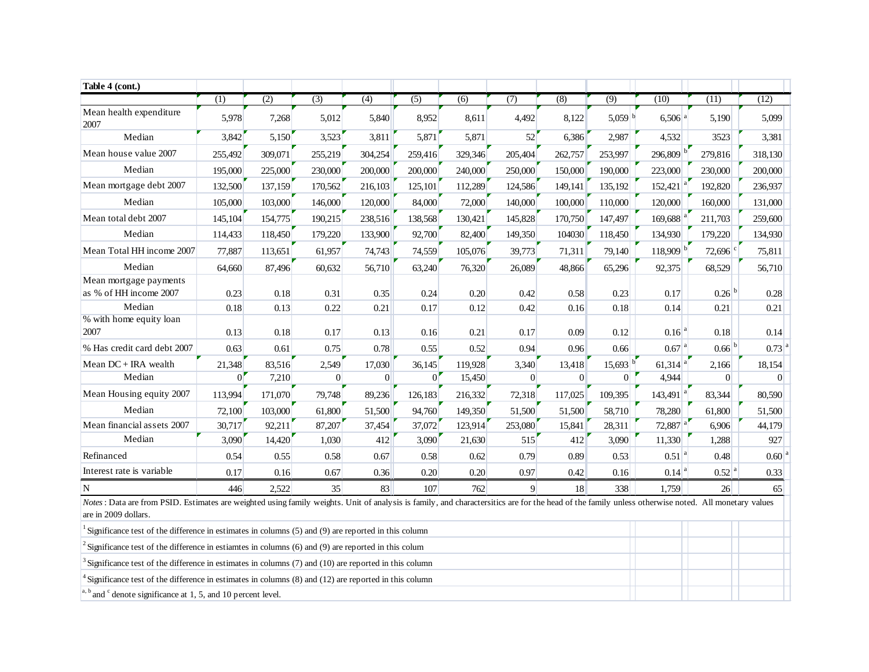| Table 4 (cont.)                                                                                                                                                                                                             |                |         |                  |                |                  |                  |                  |                  |                |                        |                       |                     |
|-----------------------------------------------------------------------------------------------------------------------------------------------------------------------------------------------------------------------------|----------------|---------|------------------|----------------|------------------|------------------|------------------|------------------|----------------|------------------------|-----------------------|---------------------|
|                                                                                                                                                                                                                             | (1)            | (2)     | $\overline{(3)}$ | (4)            | $\overline{(5)}$ | $\overline{(6)}$ | $\overline{(7)}$ | $\overline{(8)}$ | (9)            | (10)                   | (11)                  | (12)                |
| Mean health expenditure<br>2007                                                                                                                                                                                             | 5,978          | 7,268   | 5,012            | 5,840          | 8,952            | 8,611            | 4,492            | 8,122            | 5,059 $ b $    | $6,506$ <sup>a</sup>   | 5,190                 | 5,099               |
| Median                                                                                                                                                                                                                      | 3,842          | 5,150   | 3,523            | 3,811          | 5,871            | 5,871            | 52               | 6,386            | 2,987          | 4,532                  | 3523                  | 3,381               |
| Mean house value 2007                                                                                                                                                                                                       | 255,492        | 309,071 | 255,219          | 304,254        | 259,416          | 329,346          | 205,404          | 262,757          | 253,997        | $296,809$ <sup>b</sup> | 279,816               | 318,130             |
| Median                                                                                                                                                                                                                      | 195,000        | 225,000 | 230,000          | 200,000        | 200,000          | 240,000          | 250,000          | 150,000          | 190,000        | 223,000                | 230,000               | 200,000             |
| Mean mortgage debt 2007                                                                                                                                                                                                     | 132,500        | 137,159 | 170,562          | 216,103        | 125,101          | 112,289          | 124,586          | 149,141          | 135,192        | $152,421$ <sup>a</sup> | 192,820               | 236,937             |
| Median                                                                                                                                                                                                                      | 105,000        | 103,000 | 146,000          | 120,000        | 84,000           | 72,000           | 140,000          | 100,000          | 110,000        | 120,000                | 160,000               | 131,000             |
| Mean total debt 2007                                                                                                                                                                                                        | 145,104        | 154,775 | 190,215          | 238,516        | 138,568          | 130,421          | 145,828          | 170,750          | 147,497        | 169,688                | 211,703               | 259,600             |
| Median                                                                                                                                                                                                                      | 114,433        | 118,450 | 179,220          | 133,900        | 92,700           | 82,400           | 149,350          | 104030           | 118,450        | 134,930                | 179,220               | 134,930             |
| Mean Total HH income 2007                                                                                                                                                                                                   | 77,887         | 113,651 | 61,957           | 74,743         | 74,559           | 105,076          | 39,773           | 71,311           | 79,140         | $118,909$ <sup>b</sup> | $72,696$ <sup>c</sup> | 75,811              |
| Median                                                                                                                                                                                                                      | 64,660         | 87,496  | 60,632           | 56,710         | 63,240           | 76,320           | 26,089           | 48,866           | 65,296         | 92,375                 | 68,529                | 56,710              |
| Mean mortgage payments<br>as % of HH income 2007                                                                                                                                                                            | 0.23           | 0.18    | 0.31             | 0.35           | 0.24             | 0.20             | 0.42             | 0.58             | 0.23           | 0.17                   | $0.26$ <sup>b</sup>   | 0.28                |
| Median                                                                                                                                                                                                                      | 0.18           | 0.13    | 0.22             | 0.21           | 0.17             | 0.12             | 0.42             | 0.16             | 0.18           | 0.14                   | 0.21                  | 0.21                |
| % with home equity loan<br>2007                                                                                                                                                                                             | 0.13           | 0.18    | 0.17             | 0.13           | 0.16             | 0.21             | 0.17             | 0.09             | 0.12           | $0.16$ <sup>a</sup>    | 0.18                  | 0.14                |
| % Has credit card debt 2007                                                                                                                                                                                                 | 0.63           | 0.61    | 0.75             | 0.78           | 0.55             | 0.52             | 0.94             | 0.96             | 0.66           | $0.67$ <sup>a</sup>    | $0.66 ^{b}$           | $0.73$ <sup>a</sup> |
| Mean DC + IRA wealth                                                                                                                                                                                                        | 21,348         | 83,516  | 2,549            | 17,030         | 36,145           | 119,928          | 3,340            | 13,418           | 15,693         | $61,314$ <sup>a</sup>  | 2,166                 | 18,154              |
| Median                                                                                                                                                                                                                      | 0 <sup>1</sup> | 7,210   | $\overline{0}$   | $\overline{0}$ | $\overline{0}$   | 15,450           | $\vert 0 \vert$  | $\overline{0}$   | $\overline{0}$ | 4,944                  | $\overline{0}$        | $\Omega$            |
| Mean Housing equity 2007                                                                                                                                                                                                    | 113,994        | 171,070 | 79,748           | 89,236         | 126,183          | 216,332          | 72,318           | 117,025          | 109,395        | $143,491$ <sup>a</sup> | 83,344                | 80,590              |
| Median                                                                                                                                                                                                                      | 72,100         | 103,000 | 61,800           | 51,500         | 94,760           | 149,350          | 51,500           | 51,500           | 58,710         | 78,280                 | 61,800                | 51,500              |
| Mean financial assets 2007                                                                                                                                                                                                  | 30,717         | 92,211  | 87,207           | 37,454         | 37,072           | 123,914          | 253,080          | 15,841           | 28,311         | 72,887 <sup>a</sup>    | 6,906                 | 44,179              |
| Median                                                                                                                                                                                                                      | 3,090          | 14,420  | 1,030            | 412            | 3,090            | 21,630           | 515              | 412              | 3,090          | 11,330                 | 1,288                 | 927                 |
| Refinanced                                                                                                                                                                                                                  | 0.54           | 0.55    | 0.58             | 0.67           | 0.58             | 0.62             | 0.79             | 0.89             | 0.53           | $0.51$ <sup>a</sup>    | 0.48                  | $0.60$ <sup>a</sup> |
| Interest rate is variable                                                                                                                                                                                                   | 0.17           | 0.16    | 0.67             | 0.36           | 0.20             | 0.20             | 0.97             | 0.42             | 0.16           | $0.14$ <sup>a</sup>    | $0.52$ <sup>a</sup>   | 0.33                |
| N                                                                                                                                                                                                                           | 446            | 2,522   | 35               | 83             | 107              | 762              | $\overline{9}$   | 18               | 338            | 1,759                  | 26                    | 65                  |
| Notes : Data are from PSID. Estimates are weighted using family weights. Unit of analysis is family, and charactersitics are for the head of the family unless otherwise noted. All monetary values<br>are in 2009 dollars. |                |         |                  |                |                  |                  |                  |                  |                |                        |                       |                     |
| Significance test of the difference in estimates in columns (5) and (9) are reported in this column                                                                                                                         |                |         |                  |                |                  |                  |                  |                  |                |                        |                       |                     |
| $\frac{1}{2}$ Significance test of the difference in estiamtes in columns (6) and (9) are reported in this column                                                                                                           |                |         |                  |                |                  |                  |                  |                  |                |                        |                       |                     |
| Significance test of the difference in estimates in columns (7) and (10) are reported in this column                                                                                                                        |                |         |                  |                |                  |                  |                  |                  |                |                        |                       |                     |
| <sup>4</sup> Significance test of the difference in estimates in columns $(8)$ and $(12)$ are reported in this column                                                                                                       |                |         |                  |                |                  |                  |                  |                  |                |                        |                       |                     |
| $a, b$ and <sup>c</sup> denote significance at 1, 5, and 10 percent level.                                                                                                                                                  |                |         |                  |                |                  |                  |                  |                  |                |                        |                       |                     |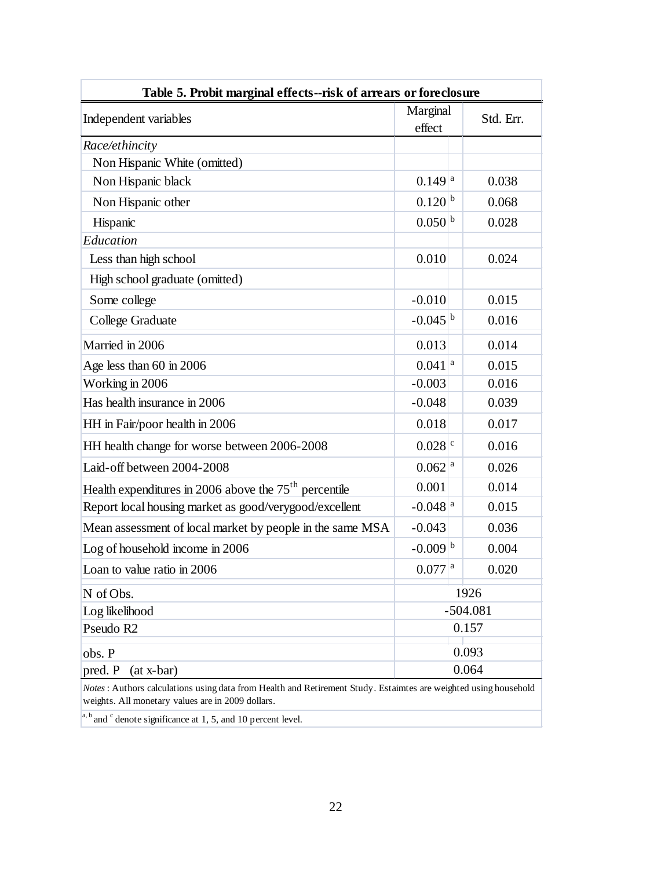| Table 5. Probit marginal effects--risk of arrears or foreclosure                                                                                                      |                       |  |            |  |  |  |  |  |  |
|-----------------------------------------------------------------------------------------------------------------------------------------------------------------------|-----------------------|--|------------|--|--|--|--|--|--|
| Independent variables                                                                                                                                                 | Marginal<br>effect    |  | Std. Err.  |  |  |  |  |  |  |
| Race/ethincity                                                                                                                                                        |                       |  |            |  |  |  |  |  |  |
| Non Hispanic White (omitted)                                                                                                                                          |                       |  |            |  |  |  |  |  |  |
| Non Hispanic black                                                                                                                                                    | $0.149$ <sup>a</sup>  |  | 0.038      |  |  |  |  |  |  |
| Non Hispanic other                                                                                                                                                    | $0.120 ^{b}$          |  | 0.068      |  |  |  |  |  |  |
| Hispanic                                                                                                                                                              | $0.050 ^{b}$          |  | 0.028      |  |  |  |  |  |  |
| Education                                                                                                                                                             |                       |  |            |  |  |  |  |  |  |
| Less than high school                                                                                                                                                 | 0.010                 |  | 0.024      |  |  |  |  |  |  |
| High school graduate (omitted)                                                                                                                                        |                       |  |            |  |  |  |  |  |  |
| Some college                                                                                                                                                          | $-0.010$              |  | 0.015      |  |  |  |  |  |  |
| College Graduate                                                                                                                                                      | $-0.045 ^{b}$         |  | 0.016      |  |  |  |  |  |  |
| Married in 2006                                                                                                                                                       | 0.013                 |  | 0.014      |  |  |  |  |  |  |
| Age less than 60 in 2006                                                                                                                                              | $0.041$ <sup>a</sup>  |  | 0.015      |  |  |  |  |  |  |
| Working in 2006                                                                                                                                                       | $-0.003$              |  | 0.016      |  |  |  |  |  |  |
| Has health insurance in 2006                                                                                                                                          | $-0.048$              |  | 0.039      |  |  |  |  |  |  |
| HH in Fair/poor health in 2006                                                                                                                                        | 0.018                 |  | 0.017      |  |  |  |  |  |  |
| HH health change for worse between 2006-2008                                                                                                                          | $0.028$ <sup>c</sup>  |  | 0.016      |  |  |  |  |  |  |
| Laid-off between 2004-2008                                                                                                                                            | $0.062$ <sup>a</sup>  |  | 0.026      |  |  |  |  |  |  |
| Health expenditures in 2006 above the $75th$ percentile                                                                                                               | 0.001                 |  | 0.014      |  |  |  |  |  |  |
| Report local housing market as good/verygood/excellent                                                                                                                | $-0.048$ <sup>a</sup> |  | 0.015      |  |  |  |  |  |  |
| Mean assessment of local market by people in the same MSA                                                                                                             | $-0.043$              |  | 0.036      |  |  |  |  |  |  |
| Log of household income in 2006                                                                                                                                       | $-0.009 ^{b}$         |  | 0.004      |  |  |  |  |  |  |
| Loan to value ratio in 2006                                                                                                                                           | $0.077$ <sup>a</sup>  |  | 0.020      |  |  |  |  |  |  |
| N of Obs.                                                                                                                                                             |                       |  | 1926       |  |  |  |  |  |  |
| Log likelihood                                                                                                                                                        |                       |  | $-504.081$ |  |  |  |  |  |  |
| Pseudo R <sub>2</sub>                                                                                                                                                 |                       |  | 0.157      |  |  |  |  |  |  |
| 0.093<br>obs. P                                                                                                                                                       |                       |  |            |  |  |  |  |  |  |
| 0.064<br>pred. P<br>$(at x-bar)$                                                                                                                                      |                       |  |            |  |  |  |  |  |  |
| Notes : Authors calculations using data from Health and Retirement Study. Estaimtes are weighted using household<br>weights. All monetary values are in 2009 dollars. |                       |  |            |  |  |  |  |  |  |

 $a, b$  and  $c$  denote significance at 1, 5, and 10 percent level.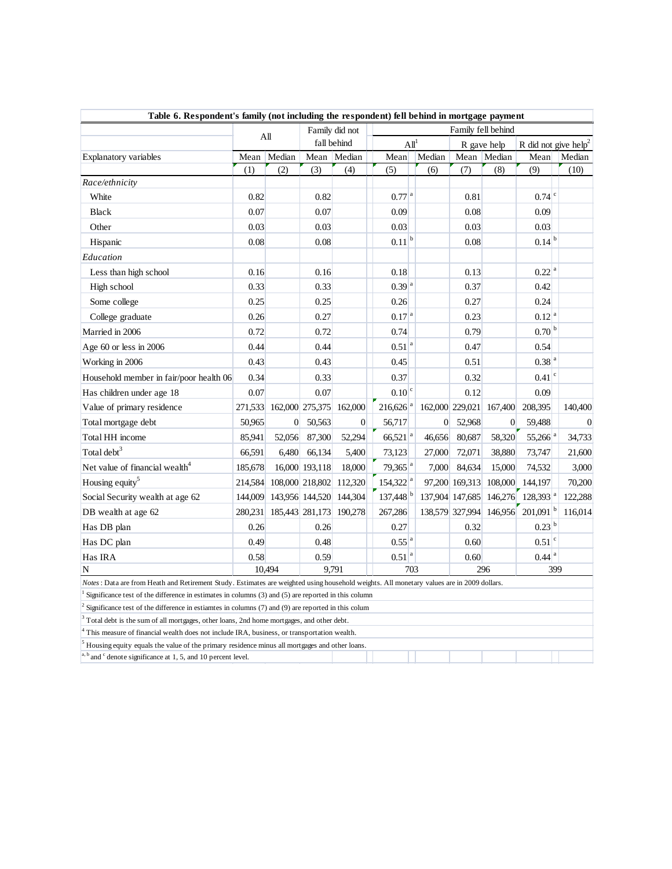| Table 6. Respondent's family (not including the respondent) fell behind in mortgage payment                                                                                            |                                      |                 |                               |                         |                                |                  |                |                         |                                              |          |  |
|----------------------------------------------------------------------------------------------------------------------------------------------------------------------------------------|--------------------------------------|-----------------|-------------------------------|-------------------------|--------------------------------|------------------|----------------|-------------------------|----------------------------------------------|----------|--|
|                                                                                                                                                                                        |                                      | A <sub>II</sub> | Family did not<br>fall behind |                         | Family fell behind             |                  |                |                         |                                              |          |  |
|                                                                                                                                                                                        |                                      |                 |                               |                         | ${\rm All}^1$                  |                  | R gave help    |                         | R did not give help <sup>2</sup>             |          |  |
| Explanatory variables                                                                                                                                                                  | Mean                                 | Median          |                               | Mean Median             | Mean                           | Median           |                | Mean Median             | Mean                                         | Median   |  |
|                                                                                                                                                                                        | (1)                                  | (2)             | (3)                           | (4)                     | (5)                            | (6)              | (7)            | (8)                     | (9)                                          | (10)     |  |
| Race/ethnicity                                                                                                                                                                         |                                      |                 |                               |                         |                                |                  |                |                         |                                              |          |  |
| White                                                                                                                                                                                  | 0.82                                 |                 | 0.82                          |                         | $0.77 ^{a}$                    |                  | 0.81           |                         | $0.74$ <sup>c</sup>                          |          |  |
| <b>Black</b>                                                                                                                                                                           | 0.07                                 |                 | 0.07                          |                         | 0.09                           |                  | 0.08           |                         | 0.09                                         |          |  |
| Other                                                                                                                                                                                  | 0.03                                 |                 | 0.03                          |                         | 0.03                           |                  | 0.03           |                         | 0.03                                         |          |  |
| Hispanic                                                                                                                                                                               | 0.08                                 |                 | 0.08                          |                         | $0.11 ^{b}$                    |                  | 0.08           |                         | $0.14 ^{b}$                                  |          |  |
| Education                                                                                                                                                                              |                                      |                 |                               |                         |                                |                  |                |                         |                                              |          |  |
| Less than high school                                                                                                                                                                  | 0.16                                 |                 | 0.16                          |                         | 0.18                           |                  | 0.13           |                         | $0.22 ^{a}$                                  |          |  |
| High school                                                                                                                                                                            | 0.33                                 |                 | 0.33                          |                         | $0.39 ^{a}$                    |                  | 0.37           |                         | 0.42                                         |          |  |
| Some college                                                                                                                                                                           | 0.25                                 |                 | 0.25                          |                         | 0.26                           |                  | 0.27           |                         | 0.24                                         |          |  |
| College graduate                                                                                                                                                                       | 0.26                                 |                 | 0.27                          |                         | 0.17 <sup>a</sup>              |                  | 0.23           |                         | $0.12^{a}$                                   |          |  |
| Married in 2006                                                                                                                                                                        | 0.72                                 |                 | 0.72                          |                         | 0.74                           |                  | 0.79           |                         | 0.70 <sup>b</sup>                            |          |  |
| Age $60$ or less in 2006                                                                                                                                                               | 0.44                                 |                 | 0.44                          |                         | $0.51$ <sup>a</sup>            |                  | 0.47           |                         | 0.54                                         |          |  |
| Working in 2006                                                                                                                                                                        | 0.43                                 |                 | 0.43                          |                         | 0.45                           |                  | 0.51           |                         | $0.38$ <sup>a</sup>                          |          |  |
| Household member in fair/poor health 06                                                                                                                                                | 0.34                                 |                 | 0.33                          |                         | 0.37                           |                  | 0.32           |                         | $0.41$ <sup>c</sup>                          |          |  |
| Has children under age 18                                                                                                                                                              | 0.07                                 |                 | 0.07                          |                         | $\overline{0.10}$ <sup>c</sup> |                  | 0.12           |                         | 0.09                                         |          |  |
| Value of primary residence                                                                                                                                                             | 271,533                              |                 |                               | 162,000 275,375 162,000 | $216,626$ <sup>a</sup>         |                  |                | 162,000 229,021 167,400 | 208,395                                      | 140,400  |  |
| Total mortgage debt                                                                                                                                                                    | 50,965                               | $\overline{0}$  | 50,563                        | $\overline{0}$          | 56,717                         | $\boldsymbol{0}$ | 52,968         | $\boldsymbol{0}$        | 59,488                                       | $\Omega$ |  |
| Total HH income                                                                                                                                                                        | 85,941                               | 52,056          | 87,300                        | 52,294                  | $66,521$ <sup>a</sup>          | 46,656           | 80,687         | 58,320                  | $55,266$ <sup>a</sup>                        | 34,733   |  |
| Total debt <sup>3</sup>                                                                                                                                                                | 66.591                               | 6,480           | 66,134                        | 5,400                   | 73,123                         | 27,000           | 72,071         | 38,880                  | 73,747                                       | 21,600   |  |
| Net value of financial wealth <sup>4</sup>                                                                                                                                             | 185,678                              |                 | 16,000 193,118                | 18,000                  | $79,365$ <sup>a</sup>          | 7,000            | 84,634         | 15,000                  | 74,532                                       | 3,000    |  |
| Housing equity <sup>5</sup>                                                                                                                                                            | 214,584                              |                 | 108,000 218,802               | 112,320                 | $154,322$ <sup>a</sup>         |                  | 97,200 169,313 | 108,000                 | 144,197                                      | 70,200   |  |
| Social Security wealth at age 62                                                                                                                                                       | 144,009                              |                 |                               | 143,956 144,520 144,304 | $137,448$ <sup>b</sup>         |                  |                |                         | 137,904 147,685 146,276 128,393 <sup>a</sup> | 122,288  |  |
| DB wealth at age 62                                                                                                                                                                    | 280,231                              |                 |                               | 185,443 281,173 190,278 | 267,286                        |                  |                | 138,579 327,994 146,956 | 201,091                                      | 116,014  |  |
| Has DB plan                                                                                                                                                                            | 0.26                                 |                 | 0.26                          |                         | 0.27                           |                  | 0.32           |                         | $0.23 ^{b}$                                  |          |  |
| Has DC plan                                                                                                                                                                            | 0.49                                 |                 | 0.48                          |                         | $0.55^{a}$                     |                  | 0.60           |                         | $0.51$ <sup>c</sup>                          |          |  |
| Has IRA                                                                                                                                                                                | 0.58                                 |                 | 0.59                          |                         | $0.51 ^{a}$                    |                  | 0.60           |                         | $0.44$ <sup>a</sup>                          |          |  |
| N                                                                                                                                                                                      | 9.791<br>296<br>399<br>10.494<br>703 |                 |                               |                         |                                |                  |                |                         |                                              |          |  |
| Notes : Data are from Heath and Retirement Study. Estimates are weighted using household weights. All monetary values are in 2009 dollars.                                             |                                      |                 |                               |                         |                                |                  |                |                         |                                              |          |  |
| Significance test of the difference in estimates in columns (3) and (5) are reported in this column                                                                                    |                                      |                 |                               |                         |                                |                  |                |                         |                                              |          |  |
| Significance test of the difference in estiamtes in columns (7) and (9) are reported in this colum                                                                                     |                                      |                 |                               |                         |                                |                  |                |                         |                                              |          |  |
| Total debt is the sum of all mortgages, other loans, 2nd home mortgages, and other debt.<br>This measure of financial wealth does not include IRA, business, or transportation wealth. |                                      |                 |                               |                         |                                |                  |                |                         |                                              |          |  |

<sup>5</sup> Housing equity equals the value of the primary residence minus all mortgages and other loans.

 $a, b$  and  $c$  denote significance at 1, 5, and 10 percent level.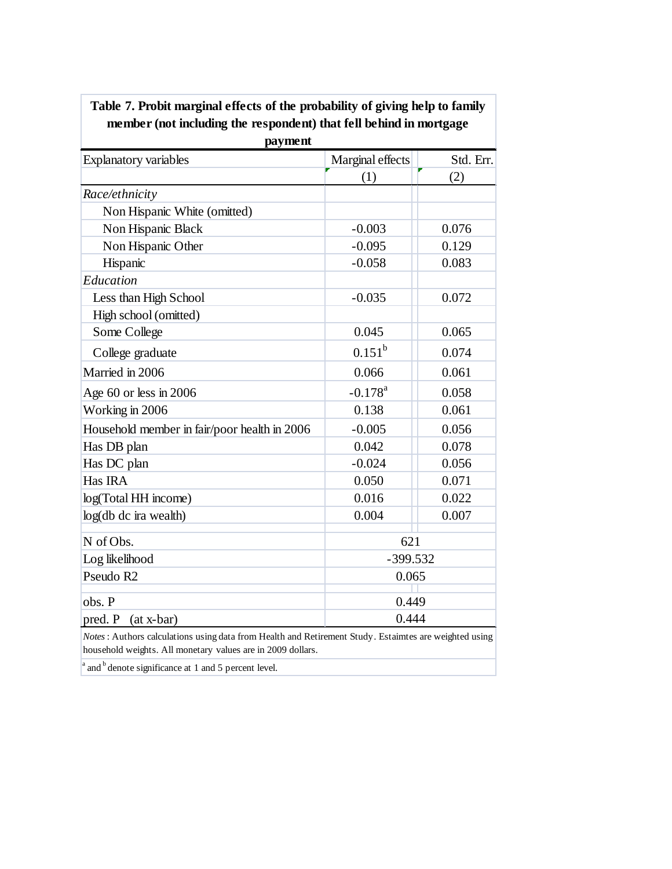| payment                                      |                       |           |  |  |  |  |  |  |  |
|----------------------------------------------|-----------------------|-----------|--|--|--|--|--|--|--|
| <b>Explanatory variables</b>                 | Marginal effects      | Std. Err. |  |  |  |  |  |  |  |
|                                              | (1)                   | (2)       |  |  |  |  |  |  |  |
| Race/ethnicity                               |                       |           |  |  |  |  |  |  |  |
| Non Hispanic White (omitted)                 |                       |           |  |  |  |  |  |  |  |
| Non Hispanic Black                           | $-0.003$              | 0.076     |  |  |  |  |  |  |  |
| Non Hispanic Other                           | $-0.095$              | 0.129     |  |  |  |  |  |  |  |
| Hispanic                                     | $-0.058$              | 0.083     |  |  |  |  |  |  |  |
| Education                                    |                       |           |  |  |  |  |  |  |  |
| Less than High School                        | $-0.035$              | 0.072     |  |  |  |  |  |  |  |
| High school (omitted)                        |                       |           |  |  |  |  |  |  |  |
| Some College                                 | 0.045                 | 0.065     |  |  |  |  |  |  |  |
| College graduate                             | $0.151^{b}$           | 0.074     |  |  |  |  |  |  |  |
| Married in 2006                              | 0.066                 | 0.061     |  |  |  |  |  |  |  |
| Age 60 or less in $2006$                     | $-0.178$ <sup>a</sup> | 0.058     |  |  |  |  |  |  |  |
| Working in 2006                              | 0.138                 | 0.061     |  |  |  |  |  |  |  |
| Household member in fair/poor health in 2006 | $-0.005$              | 0.056     |  |  |  |  |  |  |  |
| Has DB plan                                  | 0.042                 | 0.078     |  |  |  |  |  |  |  |
| Has DC plan                                  | $-0.024$              | 0.056     |  |  |  |  |  |  |  |
| Has IRA                                      | 0.050                 | 0.071     |  |  |  |  |  |  |  |
| log(Total HH income)                         | 0.016                 | 0.022     |  |  |  |  |  |  |  |
| log(db dc ira wealth)                        | 0.004                 | 0.007     |  |  |  |  |  |  |  |
| N of Obs.                                    | 621                   |           |  |  |  |  |  |  |  |
| Log likelihood                               | $-399.532$            |           |  |  |  |  |  |  |  |
| Pseudo R <sub>2</sub>                        | 0.065                 |           |  |  |  |  |  |  |  |
| obs. P                                       | 0.449                 |           |  |  |  |  |  |  |  |
| pred. P<br>$(at x-bar)$                      | 0.444                 |           |  |  |  |  |  |  |  |

**Table 7. Probit marginal effects of the probability of giving help to family member (not including the respondent) that fell behind in mortgage** 

*Notes*: Authors calculations using data from Health and Retirement Study. Estaimtes are weighted using household weights. All monetary values are in 2009 dollars.

 $a$  and  $b$  denote significance at 1 and 5 percent level.